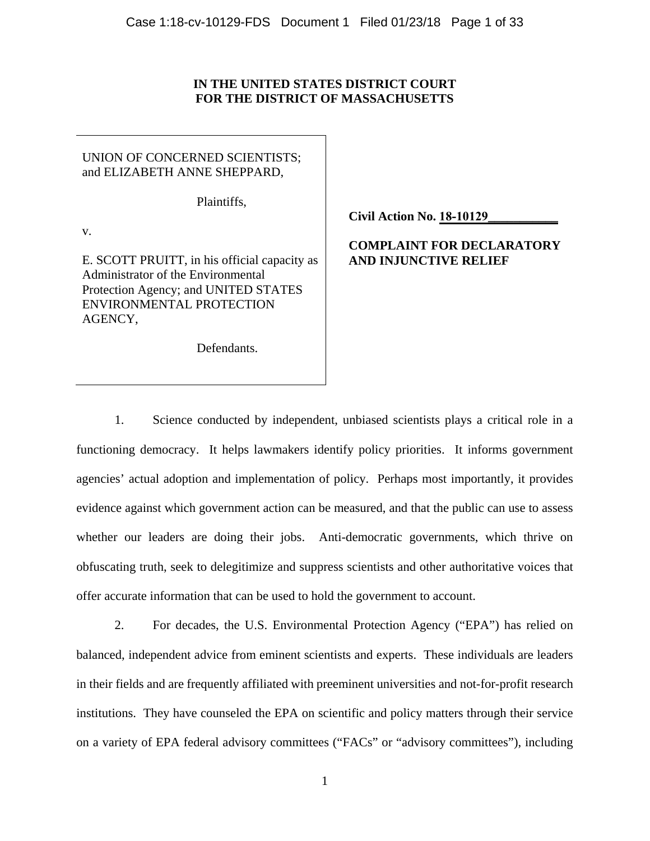## **IN THE UNITED STATES DISTRICT COURT FOR THE DISTRICT OF MASSACHUSETTS**

# UNION OF CONCERNED SCIENTISTS; and ELIZABETH ANNE SHEPPARD,

Plaintiffs,

v.

E. SCOTT PRUITT, in his official capacity as Administrator of the Environmental Protection Agency; and UNITED STATES ENVIRONMENTAL PROTECTION AGENCY,

Defendants.

**Civil Action No. 18-10129\_\_\_\_\_\_\_\_\_\_\_** 

# **COMPLAINT FOR DECLARATORY AND INJUNCTIVE RELIEF**

1. Science conducted by independent, unbiased scientists plays a critical role in a functioning democracy. It helps lawmakers identify policy priorities. It informs government agencies' actual adoption and implementation of policy. Perhaps most importantly, it provides evidence against which government action can be measured, and that the public can use to assess whether our leaders are doing their jobs. Anti-democratic governments, which thrive on obfuscating truth, seek to delegitimize and suppress scientists and other authoritative voices that offer accurate information that can be used to hold the government to account.

2. For decades, the U.S. Environmental Protection Agency ("EPA") has relied on balanced, independent advice from eminent scientists and experts. These individuals are leaders in their fields and are frequently affiliated with preeminent universities and not-for-profit research institutions. They have counseled the EPA on scientific and policy matters through their service on a variety of EPA federal advisory committees ("FACs" or "advisory committees"), including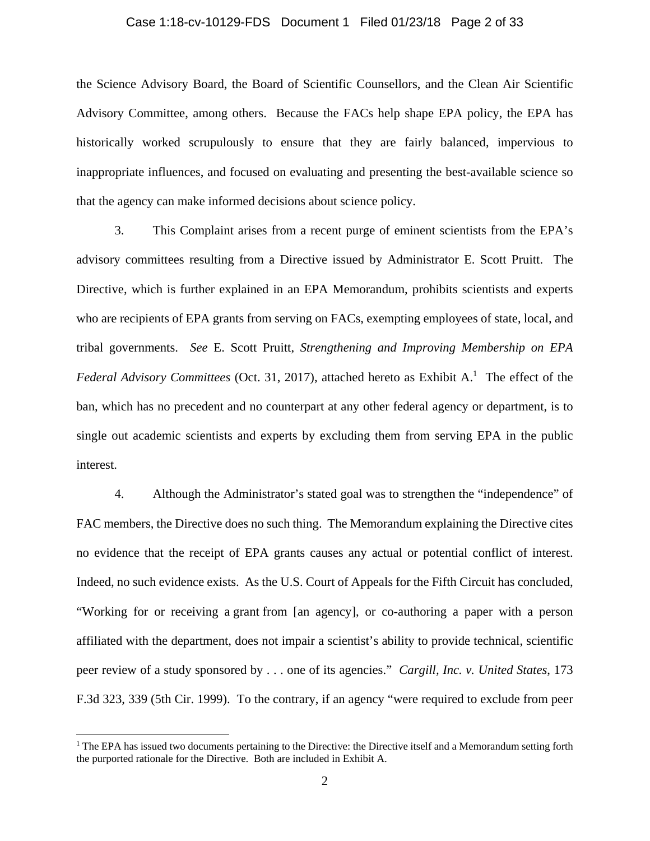#### Case 1:18-cv-10129-FDS Document 1 Filed 01/23/18 Page 2 of 33

the Science Advisory Board, the Board of Scientific Counsellors, and the Clean Air Scientific Advisory Committee, among others. Because the FACs help shape EPA policy, the EPA has historically worked scrupulously to ensure that they are fairly balanced, impervious to inappropriate influences, and focused on evaluating and presenting the best-available science so that the agency can make informed decisions about science policy.

3. This Complaint arises from a recent purge of eminent scientists from the EPA's advisory committees resulting from a Directive issued by Administrator E. Scott Pruitt. The Directive, which is further explained in an EPA Memorandum, prohibits scientists and experts who are recipients of EPA grants from serving on FACs, exempting employees of state, local, and tribal governments. *See* E. Scott Pruitt, *Strengthening and Improving Membership on EPA*  Federal Advisory Committees (Oct. 31, 2017), attached hereto as Exhibit A.<sup>1</sup> The effect of the ban, which has no precedent and no counterpart at any other federal agency or department, is to single out academic scientists and experts by excluding them from serving EPA in the public interest.

4. Although the Administrator's stated goal was to strengthen the "independence" of FAC members, the Directive does no such thing. The Memorandum explaining the Directive cites no evidence that the receipt of EPA grants causes any actual or potential conflict of interest. Indeed, no such evidence exists. As the U.S. Court of Appeals for the Fifth Circuit has concluded, "Working for or receiving a grant from [an agency], or co-authoring a paper with a person affiliated with the department, does not impair a scientist's ability to provide technical, scientific peer review of a study sponsored by . . . one of its agencies." *Cargill, Inc. v. United States*, 173 F.3d 323, 339 (5th Cir. 1999). To the contrary, if an agency "were required to exclude from peer

<sup>&</sup>lt;sup>1</sup> The EPA has issued two documents pertaining to the Directive: the Directive itself and a Memorandum setting forth the purported rationale for the Directive. Both are included in Exhibit A.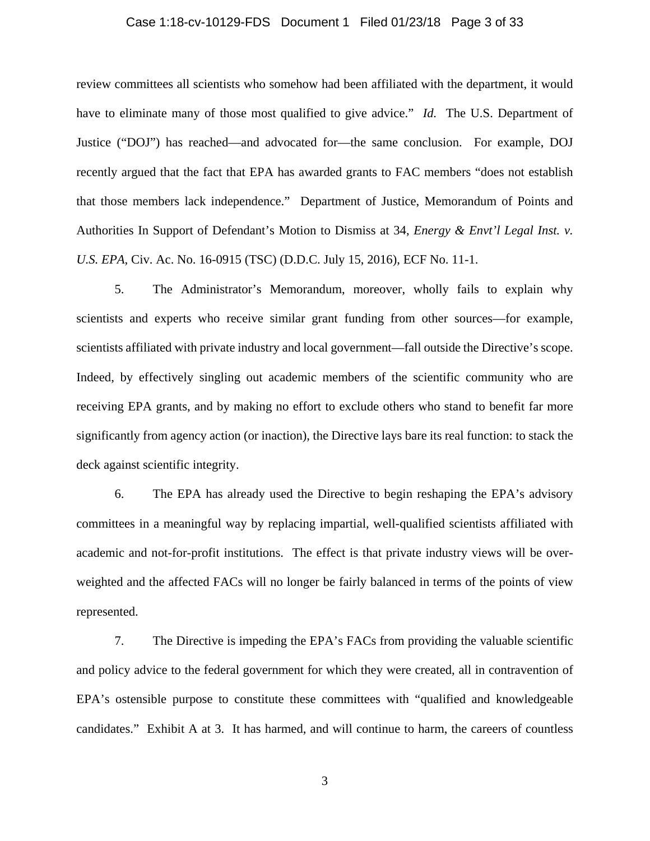#### Case 1:18-cv-10129-FDS Document 1 Filed 01/23/18 Page 3 of 33

review committees all scientists who somehow had been affiliated with the department, it would have to eliminate many of those most qualified to give advice." *Id.* The U.S. Department of Justice ("DOJ") has reached—and advocated for—the same conclusion. For example, DOJ recently argued that the fact that EPA has awarded grants to FAC members "does not establish that those members lack independence." Department of Justice, Memorandum of Points and Authorities In Support of Defendant's Motion to Dismiss at 34, *Energy & Envt'l Legal Inst. v. U.S. EPA*, Civ. Ac. No. 16-0915 (TSC) (D.D.C. July 15, 2016), ECF No. 11-1.

5. The Administrator's Memorandum, moreover, wholly fails to explain why scientists and experts who receive similar grant funding from other sources—for example, scientists affiliated with private industry and local government—fall outside the Directive's scope. Indeed, by effectively singling out academic members of the scientific community who are receiving EPA grants, and by making no effort to exclude others who stand to benefit far more significantly from agency action (or inaction), the Directive lays bare its real function: to stack the deck against scientific integrity.

6. The EPA has already used the Directive to begin reshaping the EPA's advisory committees in a meaningful way by replacing impartial, well-qualified scientists affiliated with academic and not-for-profit institutions. The effect is that private industry views will be overweighted and the affected FACs will no longer be fairly balanced in terms of the points of view represented.

7. The Directive is impeding the EPA's FACs from providing the valuable scientific and policy advice to the federal government for which they were created, all in contravention of EPA's ostensible purpose to constitute these committees with "qualified and knowledgeable candidates." Exhibit A at 3. It has harmed, and will continue to harm, the careers of countless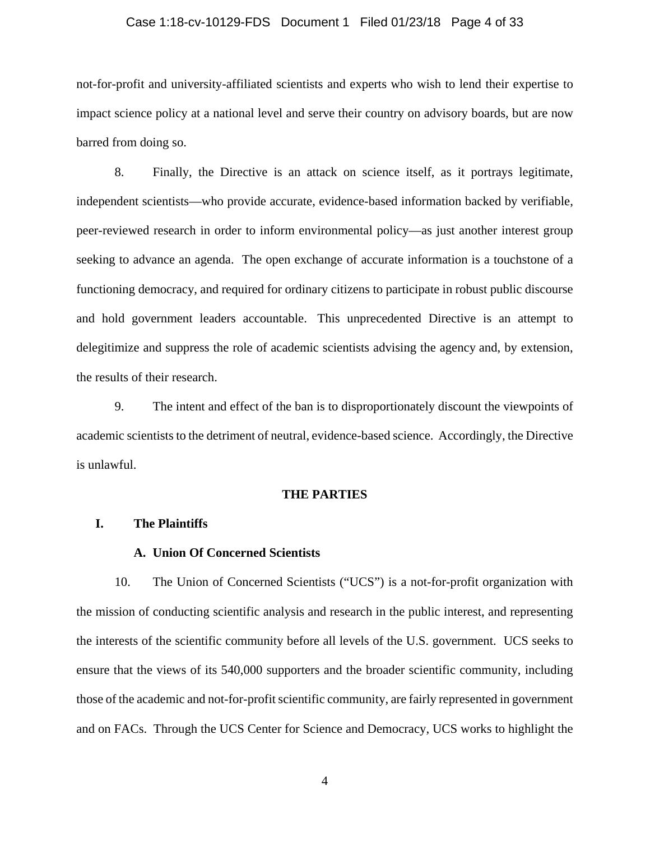#### Case 1:18-cv-10129-FDS Document 1 Filed 01/23/18 Page 4 of 33

not-for-profit and university-affiliated scientists and experts who wish to lend their expertise to impact science policy at a national level and serve their country on advisory boards, but are now barred from doing so.

8. Finally, the Directive is an attack on science itself, as it portrays legitimate, independent scientists—who provide accurate, evidence-based information backed by verifiable, peer-reviewed research in order to inform environmental policy—as just another interest group seeking to advance an agenda. The open exchange of accurate information is a touchstone of a functioning democracy, and required for ordinary citizens to participate in robust public discourse and hold government leaders accountable. This unprecedented Directive is an attempt to delegitimize and suppress the role of academic scientists advising the agency and, by extension, the results of their research.

9. The intent and effect of the ban is to disproportionately discount the viewpoints of academic scientists to the detriment of neutral, evidence-based science. Accordingly, the Directive is unlawful.

#### **THE PARTIES**

#### **I. The Plaintiffs**

#### **A. Union Of Concerned Scientists**

10. The Union of Concerned Scientists ("UCS") is a not-for-profit organization with the mission of conducting scientific analysis and research in the public interest, and representing the interests of the scientific community before all levels of the U.S. government. UCS seeks to ensure that the views of its 540,000 supporters and the broader scientific community, including those of the academic and not-for-profit scientific community, are fairly represented in government and on FACs. Through the UCS Center for Science and Democracy, UCS works to highlight the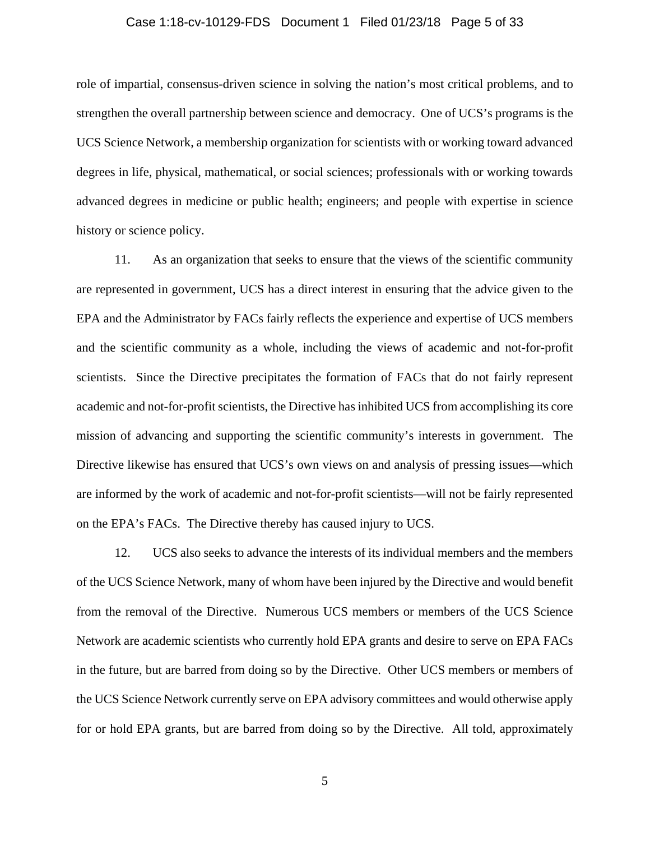#### Case 1:18-cv-10129-FDS Document 1 Filed 01/23/18 Page 5 of 33

role of impartial, consensus-driven science in solving the nation's most critical problems, and to strengthen the overall partnership between science and democracy. One of UCS's programs is the UCS Science Network, a membership organization for scientists with or working toward advanced degrees in life, physical, mathematical, or social sciences; professionals with or working towards advanced degrees in medicine or public health; engineers; and people with expertise in science history or science policy.

11. As an organization that seeks to ensure that the views of the scientific community are represented in government, UCS has a direct interest in ensuring that the advice given to the EPA and the Administrator by FACs fairly reflects the experience and expertise of UCS members and the scientific community as a whole, including the views of academic and not-for-profit scientists. Since the Directive precipitates the formation of FACs that do not fairly represent academic and not-for-profit scientists, the Directive has inhibited UCS from accomplishing its core mission of advancing and supporting the scientific community's interests in government. The Directive likewise has ensured that UCS's own views on and analysis of pressing issues—which are informed by the work of academic and not-for-profit scientists—will not be fairly represented on the EPA's FACs. The Directive thereby has caused injury to UCS.

12. UCS also seeks to advance the interests of its individual members and the members of the UCS Science Network, many of whom have been injured by the Directive and would benefit from the removal of the Directive. Numerous UCS members or members of the UCS Science Network are academic scientists who currently hold EPA grants and desire to serve on EPA FACs in the future, but are barred from doing so by the Directive. Other UCS members or members of the UCS Science Network currently serve on EPA advisory committees and would otherwise apply for or hold EPA grants, but are barred from doing so by the Directive. All told, approximately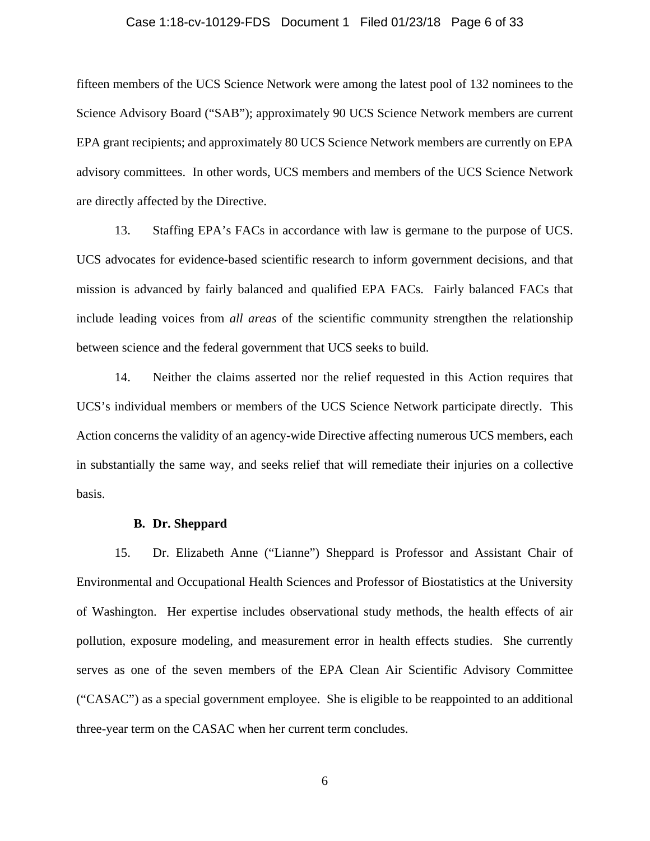#### Case 1:18-cv-10129-FDS Document 1 Filed 01/23/18 Page 6 of 33

fifteen members of the UCS Science Network were among the latest pool of 132 nominees to the Science Advisory Board ("SAB"); approximately 90 UCS Science Network members are current EPA grant recipients; and approximately 80 UCS Science Network members are currently on EPA advisory committees. In other words, UCS members and members of the UCS Science Network are directly affected by the Directive.

13. Staffing EPA's FACs in accordance with law is germane to the purpose of UCS. UCS advocates for evidence-based scientific research to inform government decisions, and that mission is advanced by fairly balanced and qualified EPA FACs. Fairly balanced FACs that include leading voices from *all areas* of the scientific community strengthen the relationship between science and the federal government that UCS seeks to build.

14. Neither the claims asserted nor the relief requested in this Action requires that UCS's individual members or members of the UCS Science Network participate directly. This Action concerns the validity of an agency-wide Directive affecting numerous UCS members, each in substantially the same way, and seeks relief that will remediate their injuries on a collective basis.

#### **B. Dr. Sheppard**

15. Dr. Elizabeth Anne ("Lianne") Sheppard is Professor and Assistant Chair of Environmental and Occupational Health Sciences and Professor of Biostatistics at the University of Washington. Her expertise includes observational study methods, the health effects of air pollution, exposure modeling, and measurement error in health effects studies. She currently serves as one of the seven members of the EPA Clean Air Scientific Advisory Committee ("CASAC") as a special government employee. She is eligible to be reappointed to an additional three-year term on the CASAC when her current term concludes.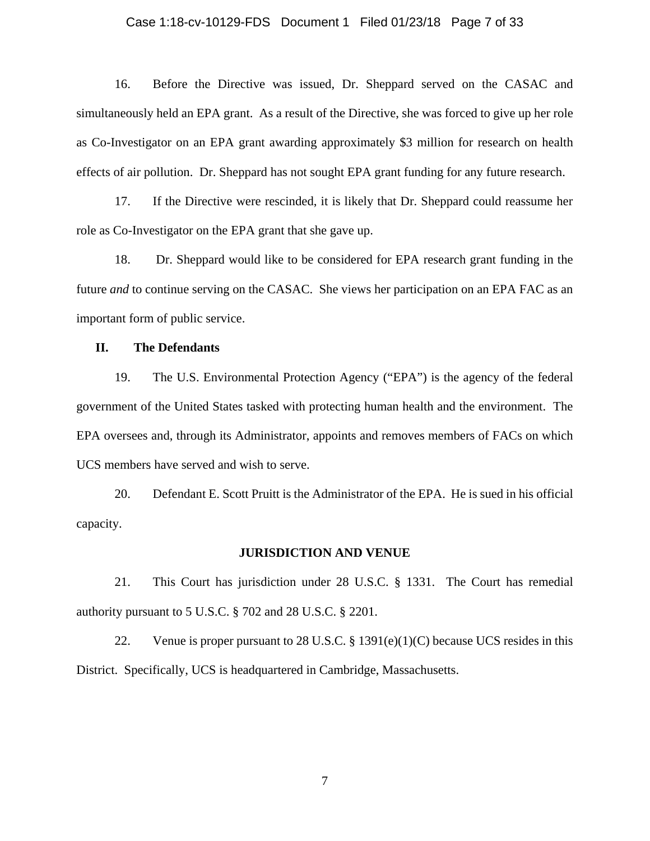#### Case 1:18-cv-10129-FDS Document 1 Filed 01/23/18 Page 7 of 33

16. Before the Directive was issued, Dr. Sheppard served on the CASAC and simultaneously held an EPA grant. As a result of the Directive, she was forced to give up her role as Co-Investigator on an EPA grant awarding approximately \$3 million for research on health effects of air pollution. Dr. Sheppard has not sought EPA grant funding for any future research.

17. If the Directive were rescinded, it is likely that Dr. Sheppard could reassume her role as Co-Investigator on the EPA grant that she gave up.

18. Dr. Sheppard would like to be considered for EPA research grant funding in the future *and* to continue serving on the CASAC. She views her participation on an EPA FAC as an important form of public service.

#### **II. The Defendants**

19. The U.S. Environmental Protection Agency ("EPA") is the agency of the federal government of the United States tasked with protecting human health and the environment. The EPA oversees and, through its Administrator, appoints and removes members of FACs on which UCS members have served and wish to serve.

20. Defendant E. Scott Pruitt is the Administrator of the EPA. He is sued in his official capacity.

#### **JURISDICTION AND VENUE**

21. This Court has jurisdiction under 28 U.S.C. § 1331. The Court has remedial authority pursuant to 5 U.S.C. § 702 and 28 U.S.C. § 2201.

22. Venue is proper pursuant to 28 U.S.C.  $\S 1391(e)(1)(C)$  because UCS resides in this District. Specifically, UCS is headquartered in Cambridge, Massachusetts.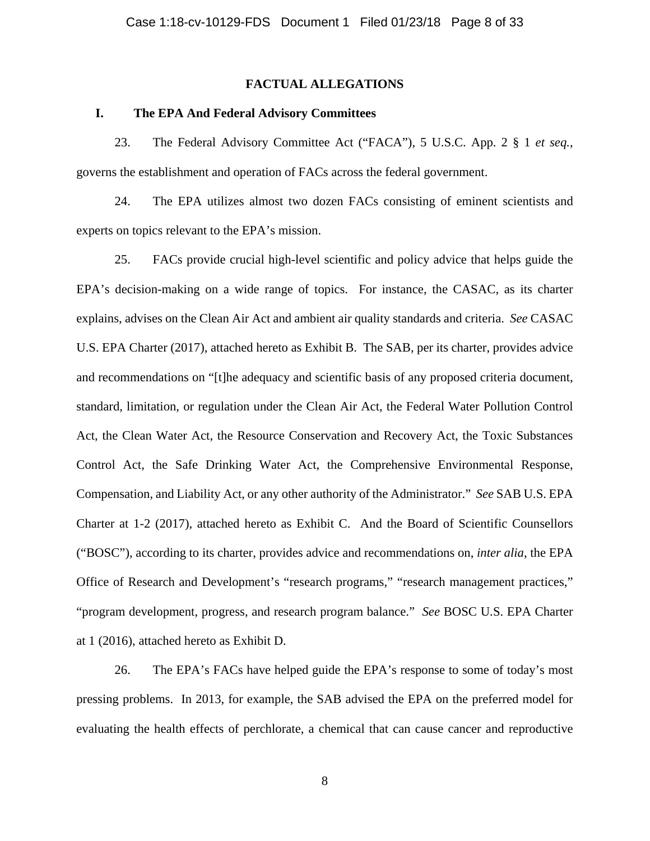### **FACTUAL ALLEGATIONS**

## **I. The EPA And Federal Advisory Committees**

23. The Federal Advisory Committee Act ("FACA"), 5 U.S.C. App. 2 § 1 *et seq.*, governs the establishment and operation of FACs across the federal government.

24. The EPA utilizes almost two dozen FACs consisting of eminent scientists and experts on topics relevant to the EPA's mission.

25. FACs provide crucial high-level scientific and policy advice that helps guide the EPA's decision-making on a wide range of topics. For instance, the CASAC, as its charter explains, advises on the Clean Air Act and ambient air quality standards and criteria. *See* CASAC U.S. EPA Charter (2017), attached hereto as Exhibit B. The SAB, per its charter, provides advice and recommendations on "[t]he adequacy and scientific basis of any proposed criteria document, standard, limitation, or regulation under the Clean Air Act, the Federal Water Pollution Control Act, the Clean Water Act, the Resource Conservation and Recovery Act, the Toxic Substances Control Act, the Safe Drinking Water Act, the Comprehensive Environmental Response, Compensation, and Liability Act, or any other authority of the Administrator." *See* SAB U.S. EPA Charter at 1-2 (2017), attached hereto as Exhibit C. And the Board of Scientific Counsellors ("BOSC"), according to its charter, provides advice and recommendations on, *inter alia*, the EPA Office of Research and Development's "research programs," "research management practices," "program development, progress, and research program balance." *See* BOSC U.S. EPA Charter at 1 (2016), attached hereto as Exhibit D.

26. The EPA's FACs have helped guide the EPA's response to some of today's most pressing problems. In 2013, for example, the SAB advised the EPA on the preferred model for evaluating the health effects of perchlorate, a chemical that can cause cancer and reproductive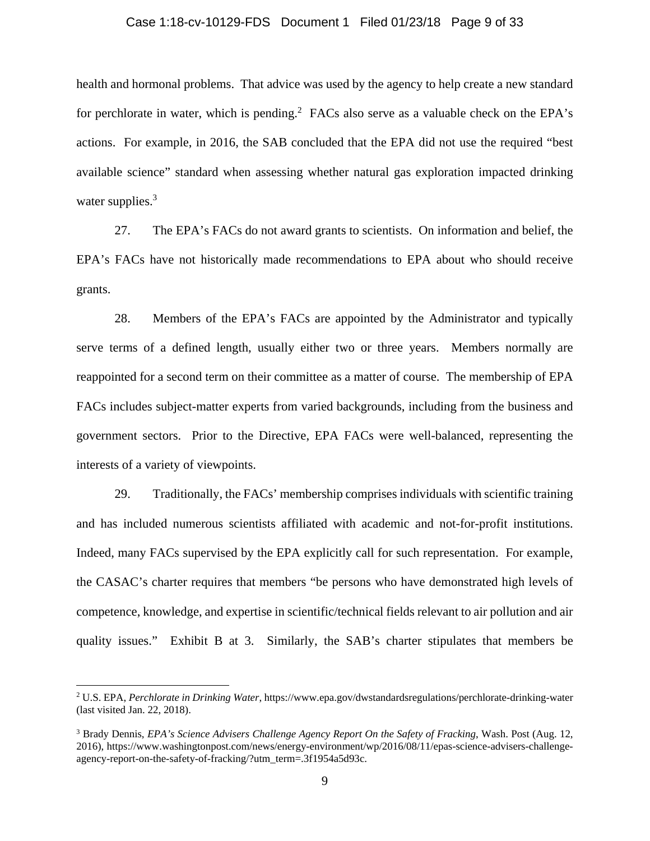### Case 1:18-cv-10129-FDS Document 1 Filed 01/23/18 Page 9 of 33

health and hormonal problems. That advice was used by the agency to help create a new standard for perchlorate in water, which is pending.<sup>2</sup> FACs also serve as a valuable check on the EPA's actions. For example, in 2016, the SAB concluded that the EPA did not use the required "best available science" standard when assessing whether natural gas exploration impacted drinking water supplies.<sup>3</sup>

27. The EPA's FACs do not award grants to scientists. On information and belief, the EPA's FACs have not historically made recommendations to EPA about who should receive grants.

28. Members of the EPA's FACs are appointed by the Administrator and typically serve terms of a defined length, usually either two or three years. Members normally are reappointed for a second term on their committee as a matter of course. The membership of EPA FACs includes subject-matter experts from varied backgrounds, including from the business and government sectors. Prior to the Directive, EPA FACs were well-balanced, representing the interests of a variety of viewpoints.

29. Traditionally, the FACs' membership comprises individuals with scientific training and has included numerous scientists affiliated with academic and not-for-profit institutions. Indeed, many FACs supervised by the EPA explicitly call for such representation. For example, the CASAC's charter requires that members "be persons who have demonstrated high levels of competence, knowledge, and expertise in scientific/technical fields relevant to air pollution and air quality issues." Exhibit B at 3. Similarly, the SAB's charter stipulates that members be

<sup>2</sup> U.S. EPA, *Perchlorate in Drinking Water*, https://www.epa.gov/dwstandardsregulations/perchlorate-drinking-water (last visited Jan. 22, 2018).

<sup>3</sup> Brady Dennis, *EPA's Science Advisers Challenge Agency Report On the Safety of Fracking*, Wash. Post (Aug. 12, 2016), https://www.washingtonpost.com/news/energy-environment/wp/2016/08/11/epas-science-advisers-challengeagency-report-on-the-safety-of-fracking/?utm\_term=.3f1954a5d93c.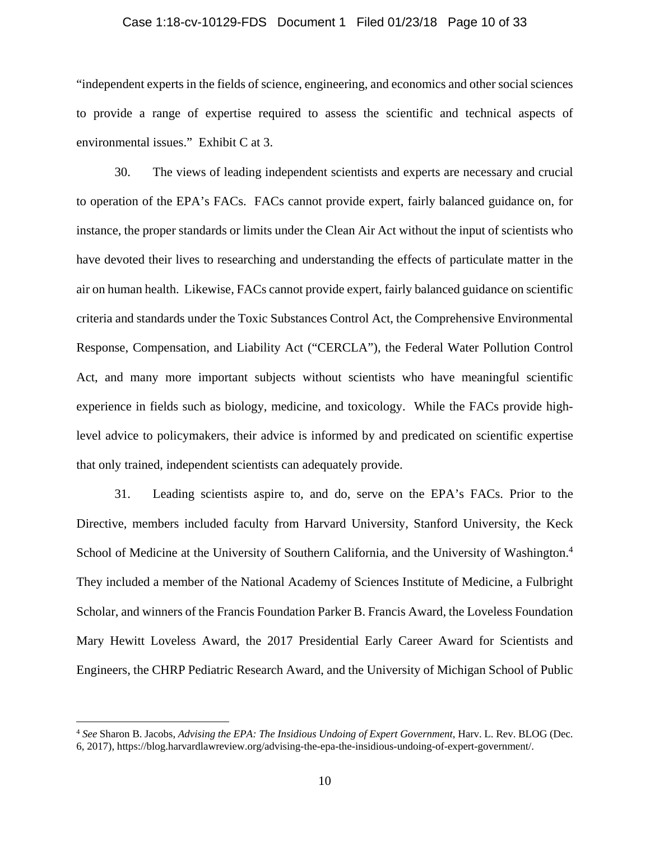#### Case 1:18-cv-10129-FDS Document 1 Filed 01/23/18 Page 10 of 33

"independent experts in the fields of science, engineering, and economics and other social sciences to provide a range of expertise required to assess the scientific and technical aspects of environmental issues." Exhibit C at 3.

30. The views of leading independent scientists and experts are necessary and crucial to operation of the EPA's FACs. FACs cannot provide expert, fairly balanced guidance on, for instance, the proper standards or limits under the Clean Air Act without the input of scientists who have devoted their lives to researching and understanding the effects of particulate matter in the air on human health. Likewise, FACs cannot provide expert, fairly balanced guidance on scientific criteria and standards under the Toxic Substances Control Act, the Comprehensive Environmental Response, Compensation, and Liability Act ("CERCLA"), the Federal Water Pollution Control Act, and many more important subjects without scientists who have meaningful scientific experience in fields such as biology, medicine, and toxicology. While the FACs provide highlevel advice to policymakers, their advice is informed by and predicated on scientific expertise that only trained, independent scientists can adequately provide.

31. Leading scientists aspire to, and do, serve on the EPA's FACs. Prior to the Directive, members included faculty from Harvard University, Stanford University, the Keck School of Medicine at the University of Southern California, and the University of Washington.<sup>4</sup> They included a member of the National Academy of Sciences Institute of Medicine, a Fulbright Scholar, and winners of the Francis Foundation Parker B. Francis Award, the Loveless Foundation Mary Hewitt Loveless Award, the 2017 Presidential Early Career Award for Scientists and Engineers, the CHRP Pediatric Research Award, and the University of Michigan School of Public

<sup>4</sup> *See* Sharon B. Jacobs, *Advising the EPA: The Insidious Undoing of Expert Government*, Harv. L. Rev. BLOG (Dec. 6, 2017), https://blog.harvardlawreview.org/advising-the-epa-the-insidious-undoing-of-expert-government/.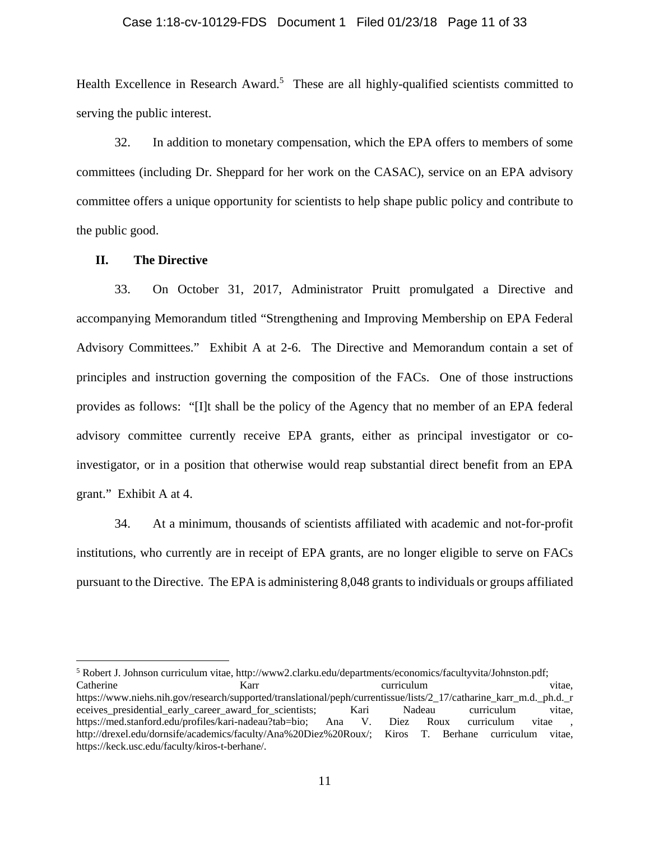### Case 1:18-cv-10129-FDS Document 1 Filed 01/23/18 Page 11 of 33

Health Excellence in Research Award.<sup>5</sup> These are all highly-qualified scientists committed to serving the public interest.

32. In addition to monetary compensation, which the EPA offers to members of some committees (including Dr. Sheppard for her work on the CASAC), service on an EPA advisory committee offers a unique opportunity for scientists to help shape public policy and contribute to the public good.

#### **II. The Directive**

 $\overline{a}$ 

33. On October 31, 2017, Administrator Pruitt promulgated a Directive and accompanying Memorandum titled "Strengthening and Improving Membership on EPA Federal Advisory Committees." Exhibit A at 2-6. The Directive and Memorandum contain a set of principles and instruction governing the composition of the FACs. One of those instructions provides as follows: "[I]t shall be the policy of the Agency that no member of an EPA federal advisory committee currently receive EPA grants, either as principal investigator or coinvestigator, or in a position that otherwise would reap substantial direct benefit from an EPA grant." Exhibit A at 4.

34. At a minimum, thousands of scientists affiliated with academic and not-for-profit institutions, who currently are in receipt of EPA grants, are no longer eligible to serve on FACs pursuant to the Directive. The EPA is administering 8,048 grants to individuals or groups affiliated

<sup>&</sup>lt;sup>5</sup> Robert J. Johnson curriculum vitae, http://www2.clarku.edu/departments/economics/facultyvita/Johnston.pdf; Catherine Karr Karr curriculum vitae, https://www.niehs.nih.gov/research/supported/translational/peph/currentissue/lists/2\_17/catharine\_karr\_m.d.\_ph.d.\_r eceives\_presidential\_early\_career\_award\_for\_scientists; Kari Nadeau curriculum vitae, https://med.stanford.edu/profiles/kari-nadeau?tab=bio; Ana V. Diez Roux curriculum vitae http://drexel.edu/dornsife/academics/faculty/Ana%20Diez%20Roux/; Kiros T. Berhane curriculum vitae, https://keck.usc.edu/faculty/kiros-t-berhane/.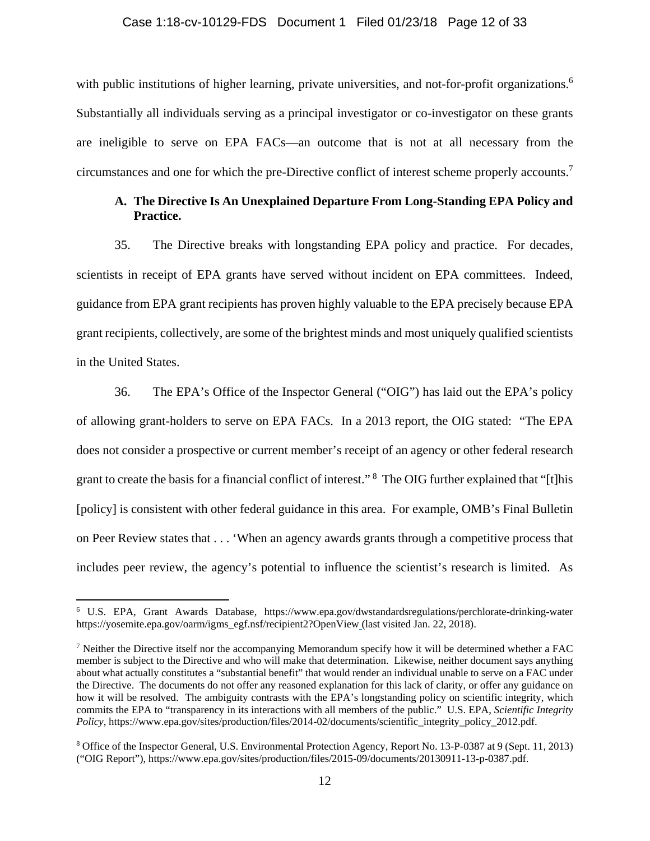### Case 1:18-cv-10129-FDS Document 1 Filed 01/23/18 Page 12 of 33

with public institutions of higher learning, private universities, and not-for-profit organizations.<sup>6</sup> Substantially all individuals serving as a principal investigator or co-investigator on these grants are ineligible to serve on EPA FACs—an outcome that is not at all necessary from the circumstances and one for which the pre-Directive conflict of interest scheme properly accounts.7

## **A. The Directive Is An Unexplained Departure From Long-Standing EPA Policy and Practice.**

35. The Directive breaks with longstanding EPA policy and practice. For decades, scientists in receipt of EPA grants have served without incident on EPA committees. Indeed, guidance from EPA grant recipients has proven highly valuable to the EPA precisely because EPA grant recipients, collectively, are some of the brightest minds and most uniquely qualified scientists in the United States.

36. The EPA's Office of the Inspector General ("OIG") has laid out the EPA's policy of allowing grant-holders to serve on EPA FACs. In a 2013 report, the OIG stated: "The EPA does not consider a prospective or current member's receipt of an agency or other federal research grant to create the basis for a financial conflict of interest." <sup>8</sup> The OIG further explained that "[t]his [policy] is consistent with other federal guidance in this area. For example, OMB's Final Bulletin on Peer Review states that . . . 'When an agency awards grants through a competitive process that includes peer review, the agency's potential to influence the scientist's research is limited. As

<sup>6</sup> U.S. EPA, Grant Awards Database, https://www.epa.gov/dwstandardsregulations/perchlorate-drinking-water https://yosemite.epa.gov/oarm/igms\_egf.nsf/recipient2?OpenView (last visited Jan. 22, 2018).

<sup>&</sup>lt;sup>7</sup> Neither the Directive itself nor the accompanying Memorandum specify how it will be determined whether a FAC member is subject to the Directive and who will make that determination. Likewise, neither document says anything about what actually constitutes a "substantial benefit" that would render an individual unable to serve on a FAC under the Directive. The documents do not offer any reasoned explanation for this lack of clarity, or offer any guidance on how it will be resolved. The ambiguity contrasts with the EPA's longstanding policy on scientific integrity, which commits the EPA to "transparency in its interactions with all members of the public." U.S. EPA, *Scientific Integrity Policy*, https://www.epa.gov/sites/production/files/2014-02/documents/scientific\_integrity\_policy\_2012.pdf.

<sup>8</sup> Office of the Inspector General, U.S. Environmental Protection Agency, Report No. 13-P-0387 at 9 (Sept. 11, 2013) ("OIG Report"), https://www.epa.gov/sites/production/files/2015-09/documents/20130911-13-p-0387.pdf.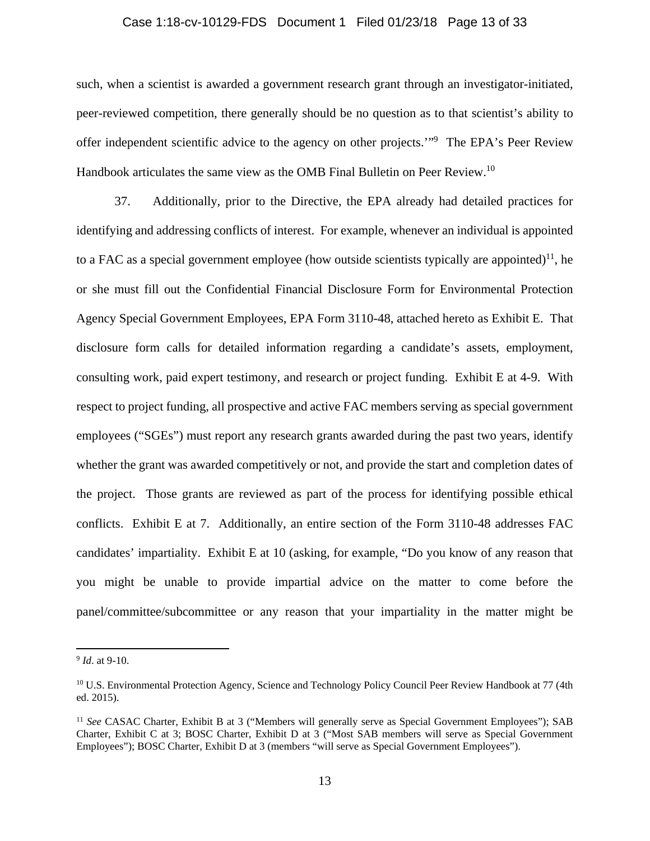#### Case 1:18-cv-10129-FDS Document 1 Filed 01/23/18 Page 13 of 33

such, when a scientist is awarded a government research grant through an investigator-initiated, peer-reviewed competition, there generally should be no question as to that scientist's ability to offer independent scientific advice to the agency on other projects."<sup>9</sup> The EPA's Peer Review Handbook articulates the same view as the OMB Final Bulletin on Peer Review.<sup>10</sup>

37. Additionally, prior to the Directive, the EPA already had detailed practices for identifying and addressing conflicts of interest. For example, whenever an individual is appointed to a FAC as a special government employee (how outside scientists typically are appointed)<sup>11</sup>, he or she must fill out the Confidential Financial Disclosure Form for Environmental Protection Agency Special Government Employees, EPA Form 3110-48, attached hereto as Exhibit E. That disclosure form calls for detailed information regarding a candidate's assets, employment, consulting work, paid expert testimony, and research or project funding. Exhibit E at 4-9. With respect to project funding, all prospective and active FAC members serving as special government employees ("SGEs") must report any research grants awarded during the past two years, identify whether the grant was awarded competitively or not, and provide the start and completion dates of the project. Those grants are reviewed as part of the process for identifying possible ethical conflicts. Exhibit E at 7. Additionally, an entire section of the Form 3110-48 addresses FAC candidates' impartiality. Exhibit E at 10 (asking, for example, "Do you know of any reason that you might be unable to provide impartial advice on the matter to come before the panel/committee/subcommittee or any reason that your impartiality in the matter might be

<sup>9</sup> *Id*. at 9-10.

<sup>&</sup>lt;sup>10</sup> U.S. Environmental Protection Agency, Science and Technology Policy Council Peer Review Handbook at 77 (4th ed. 2015).

<sup>&</sup>lt;sup>11</sup> *See* CASAC Charter, Exhibit B at 3 ("Members will generally serve as Special Government Employees"); SAB Charter, Exhibit C at 3; BOSC Charter, Exhibit D at 3 ("Most SAB members will serve as Special Government Employees"); BOSC Charter, Exhibit D at 3 (members "will serve as Special Government Employees").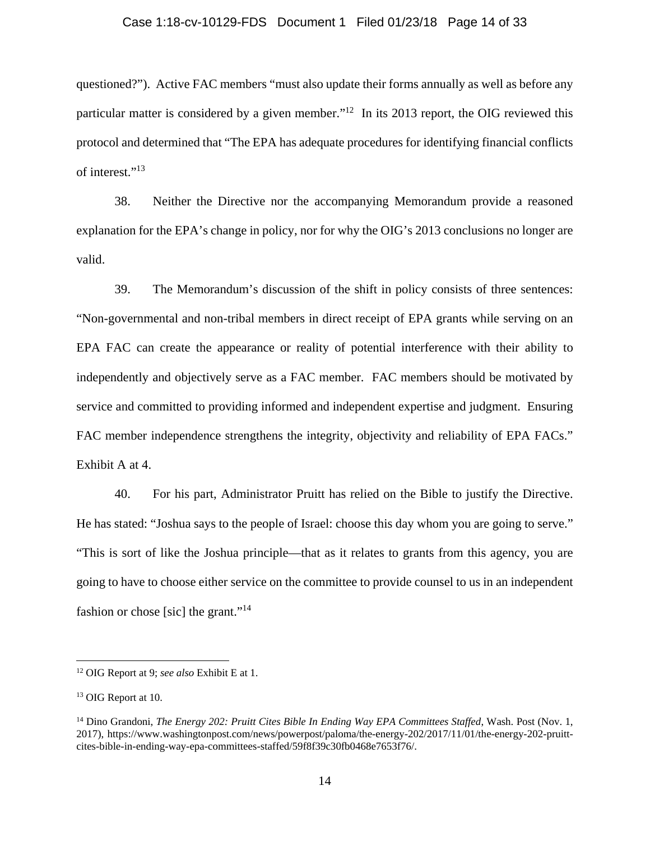#### Case 1:18-cv-10129-FDS Document 1 Filed 01/23/18 Page 14 of 33

questioned?"). Active FAC members "must also update their forms annually as well as before any particular matter is considered by a given member."<sup>12</sup> In its 2013 report, the OIG reviewed this protocol and determined that "The EPA has adequate procedures for identifying financial conflicts of interest."<sup>13</sup>

38. Neither the Directive nor the accompanying Memorandum provide a reasoned explanation for the EPA's change in policy, nor for why the OIG's 2013 conclusions no longer are valid.

39. The Memorandum's discussion of the shift in policy consists of three sentences: "Non-governmental and non-tribal members in direct receipt of EPA grants while serving on an EPA FAC can create the appearance or reality of potential interference with their ability to independently and objectively serve as a FAC member. FAC members should be motivated by service and committed to providing informed and independent expertise and judgment. Ensuring FAC member independence strengthens the integrity, objectivity and reliability of EPA FACs." Exhibit A at 4.

40. For his part, Administrator Pruitt has relied on the Bible to justify the Directive. He has stated: "Joshua says to the people of Israel: choose this day whom you are going to serve." "This is sort of like the Joshua principle—that as it relates to grants from this agency, you are going to have to choose either service on the committee to provide counsel to us in an independent fashion or chose [sic] the grant."<sup>14</sup>

<sup>12</sup> OIG Report at 9; *see also* Exhibit E at 1.

<sup>&</sup>lt;sup>13</sup> OIG Report at 10.

<sup>14</sup> Dino Grandoni, *The Energy 202: Pruitt Cites Bible In Ending Way EPA Committees Staffed*, Wash. Post (Nov. 1, 2017), https://www.washingtonpost.com/news/powerpost/paloma/the-energy-202/2017/11/01/the-energy-202-pruittcites-bible-in-ending-way-epa-committees-staffed/59f8f39c30fb0468e7653f76/.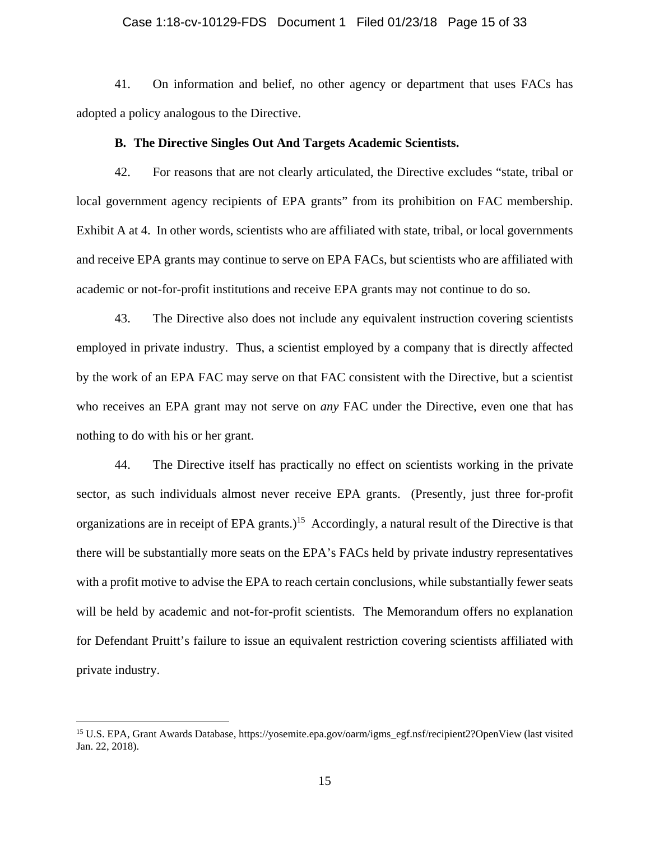#### Case 1:18-cv-10129-FDS Document 1 Filed 01/23/18 Page 15 of 33

41. On information and belief, no other agency or department that uses FACs has adopted a policy analogous to the Directive.

#### **B. The Directive Singles Out And Targets Academic Scientists.**

42. For reasons that are not clearly articulated, the Directive excludes "state, tribal or local government agency recipients of EPA grants" from its prohibition on FAC membership. Exhibit A at 4. In other words, scientists who are affiliated with state, tribal, or local governments and receive EPA grants may continue to serve on EPA FACs, but scientists who are affiliated with academic or not-for-profit institutions and receive EPA grants may not continue to do so.

43. The Directive also does not include any equivalent instruction covering scientists employed in private industry. Thus, a scientist employed by a company that is directly affected by the work of an EPA FAC may serve on that FAC consistent with the Directive, but a scientist who receives an EPA grant may not serve on *any* FAC under the Directive, even one that has nothing to do with his or her grant.

44. The Directive itself has practically no effect on scientists working in the private sector, as such individuals almost never receive EPA grants. (Presently, just three for-profit organizations are in receipt of EPA grants.)<sup>15</sup> Accordingly, a natural result of the Directive is that there will be substantially more seats on the EPA's FACs held by private industry representatives with a profit motive to advise the EPA to reach certain conclusions, while substantially fewer seats will be held by academic and not-for-profit scientists. The Memorandum offers no explanation for Defendant Pruitt's failure to issue an equivalent restriction covering scientists affiliated with private industry.

<sup>15</sup> U.S. EPA, Grant Awards Database, https://yosemite.epa.gov/oarm/igms\_egf.nsf/recipient2?OpenView (last visited Jan. 22, 2018).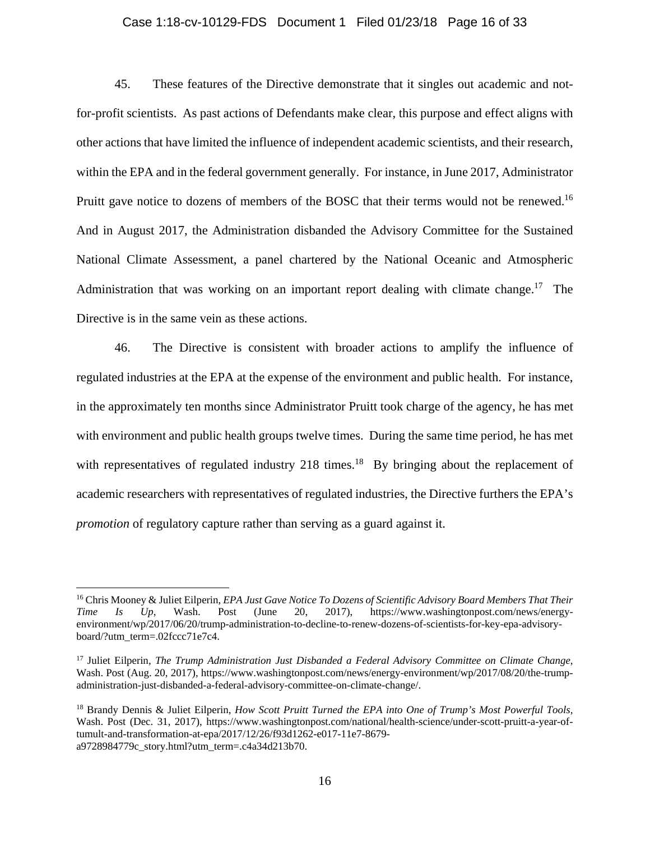### Case 1:18-cv-10129-FDS Document 1 Filed 01/23/18 Page 16 of 33

45. These features of the Directive demonstrate that it singles out academic and notfor-profit scientists. As past actions of Defendants make clear, this purpose and effect aligns with other actions that have limited the influence of independent academic scientists, and their research, within the EPA and in the federal government generally. For instance, in June 2017, Administrator Pruitt gave notice to dozens of members of the BOSC that their terms would not be renewed.<sup>16</sup> And in August 2017, the Administration disbanded the Advisory Committee for the Sustained National Climate Assessment, a panel chartered by the National Oceanic and Atmospheric Administration that was working on an important report dealing with climate change.<sup>17</sup> The Directive is in the same vein as these actions.

46. The Directive is consistent with broader actions to amplify the influence of regulated industries at the EPA at the expense of the environment and public health. For instance, in the approximately ten months since Administrator Pruitt took charge of the agency, he has met with environment and public health groups twelve times. During the same time period, he has met with representatives of regulated industry 218 times.<sup>18</sup> By bringing about the replacement of academic researchers with representatives of regulated industries, the Directive furthers the EPA's *promotion* of regulatory capture rather than serving as a guard against it.

<sup>16</sup> Chris Mooney & Juliet Eilperin, *EPA Just Gave Notice To Dozens of Scientific Advisory Board Members That Their Time Is Up*, Wash. Post (June 20, 2017), https://www.washingtonpost.com/news/energyenvironment/wp/2017/06/20/trump-administration-to-decline-to-renew-dozens-of-scientists-for-key-epa-advisoryboard/?utm\_term=.02fccc71e7c4.

<sup>17</sup> Juliet Eilperin, *The Trump Administration Just Disbanded a Federal Advisory Committee on Climate Change*, Wash. Post (Aug. 20, 2017), https://www.washingtonpost.com/news/energy-environment/wp/2017/08/20/the-trumpadministration-just-disbanded-a-federal-advisory-committee-on-climate-change/.

<sup>18</sup> Brandy Dennis & Juliet Eilperin, *How Scott Pruitt Turned the EPA into One of Trump's Most Powerful Tools*, Wash. Post (Dec. 31, 2017), https://www.washingtonpost.com/national/health-science/under-scott-pruitt-a-year-oftumult-and-transformation-at-epa/2017/12/26/f93d1262-e017-11e7-8679 a9728984779c\_story.html?utm\_term=.c4a34d213b70.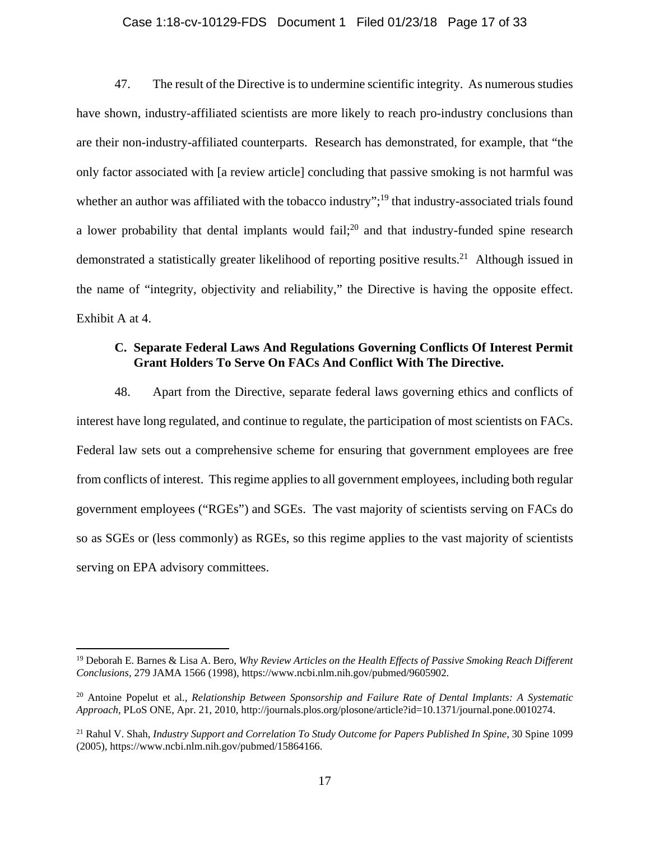#### Case 1:18-cv-10129-FDS Document 1 Filed 01/23/18 Page 17 of 33

47. The result of the Directive is to undermine scientific integrity. As numerous studies have shown, industry-affiliated scientists are more likely to reach pro-industry conclusions than are their non-industry-affiliated counterparts. Research has demonstrated, for example, that "the only factor associated with [a review article] concluding that passive smoking is not harmful was whether an author was affiliated with the tobacco industry";<sup>19</sup> that industry-associated trials found a lower probability that dental implants would fail; $^{20}$  and that industry-funded spine research demonstrated a statistically greater likelihood of reporting positive results.<sup>21</sup> Although issued in the name of "integrity, objectivity and reliability," the Directive is having the opposite effect. Exhibit A at 4.

## **C. Separate Federal Laws And Regulations Governing Conflicts Of Interest Permit Grant Holders To Serve On FACs And Conflict With The Directive.**

48. Apart from the Directive, separate federal laws governing ethics and conflicts of interest have long regulated, and continue to regulate, the participation of most scientists on FACs. Federal law sets out a comprehensive scheme for ensuring that government employees are free from conflicts of interest. This regime applies to all government employees, including both regular government employees ("RGEs") and SGEs. The vast majority of scientists serving on FACs do so as SGEs or (less commonly) as RGEs, so this regime applies to the vast majority of scientists serving on EPA advisory committees.

<sup>19</sup> Deborah E. Barnes & Lisa A. Bero, *Why Review Articles on the Health Effects of Passive Smoking Reach Different Conclusions*, 279 JAMA 1566 (1998), https://www.ncbi.nlm.nih.gov/pubmed/9605902.

<sup>20</sup> Antoine Popelut et al., *Relationship Between Sponsorship and Failure Rate of Dental Implants: A Systematic Approach*, PLoS ONE, Apr. 21, 2010, http://journals.plos.org/plosone/article?id=10.1371/journal.pone.0010274.

<sup>21</sup> Rahul V. Shah, *Industry Support and Correlation To Study Outcome for Papers Published In Spine*, 30 Spine 1099 (2005), https://www.ncbi.nlm.nih.gov/pubmed/15864166.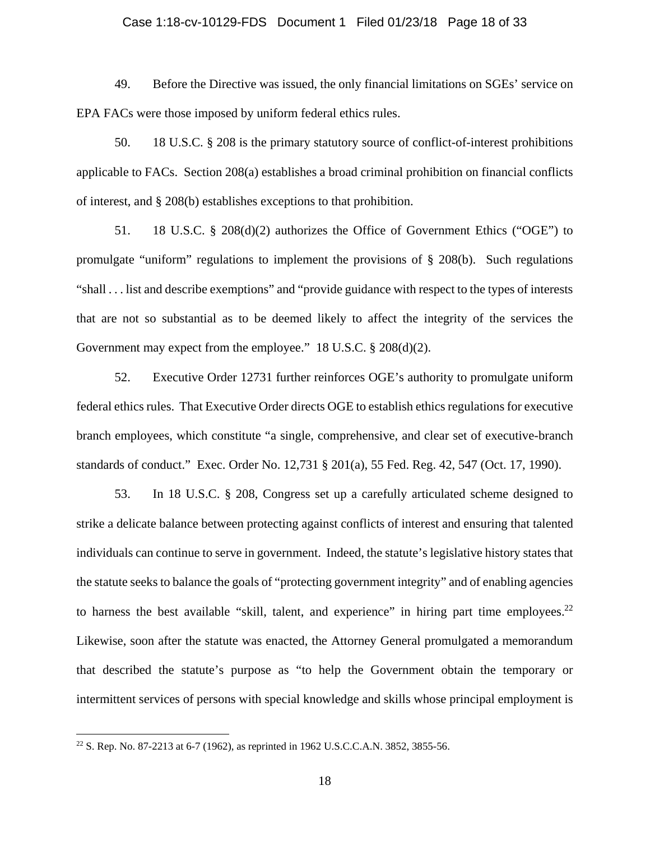#### Case 1:18-cv-10129-FDS Document 1 Filed 01/23/18 Page 18 of 33

49. Before the Directive was issued, the only financial limitations on SGEs' service on EPA FACs were those imposed by uniform federal ethics rules.

50. 18 U.S.C. § 208 is the primary statutory source of conflict-of-interest prohibitions applicable to FACs. Section 208(a) establishes a broad criminal prohibition on financial conflicts of interest, and § 208(b) establishes exceptions to that prohibition.

51. 18 U.S.C. § 208(d)(2) authorizes the Office of Government Ethics ("OGE") to promulgate "uniform" regulations to implement the provisions of § 208(b). Such regulations "shall . . . list and describe exemptions" and "provide guidance with respect to the types of interests that are not so substantial as to be deemed likely to affect the integrity of the services the Government may expect from the employee." 18 U.S.C. § 208(d)(2).

52. Executive Order 12731 further reinforces OGE's authority to promulgate uniform federal ethics rules. That Executive Order directs OGE to establish ethics regulations for executive branch employees, which constitute "a single, comprehensive, and clear set of executive-branch standards of conduct." Exec. Order No. 12,731 § 201(a), 55 Fed. Reg. 42, 547 (Oct. 17, 1990).

53. In 18 U.S.C. § 208, Congress set up a carefully articulated scheme designed to strike a delicate balance between protecting against conflicts of interest and ensuring that talented individuals can continue to serve in government. Indeed, the statute's legislative history states that the statute seeks to balance the goals of "protecting government integrity" and of enabling agencies to harness the best available "skill, talent, and experience" in hiring part time employees. $22$ Likewise, soon after the statute was enacted, the Attorney General promulgated a memorandum that described the statute's purpose as "to help the Government obtain the temporary or intermittent services of persons with special knowledge and skills whose principal employment is

 $22$  S. Rep. No. 87-2213 at 6-7 (1962), as reprinted in 1962 U.S.C.C.A.N. 3852, 3855-56.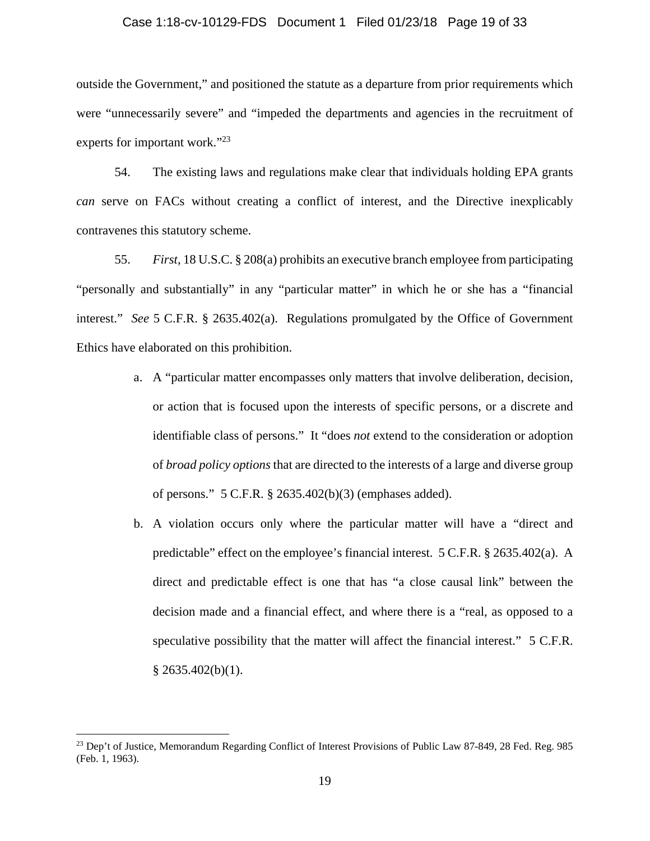#### Case 1:18-cv-10129-FDS Document 1 Filed 01/23/18 Page 19 of 33

outside the Government," and positioned the statute as a departure from prior requirements which were "unnecessarily severe" and "impeded the departments and agencies in the recruitment of experts for important work."<sup>23</sup>

54. The existing laws and regulations make clear that individuals holding EPA grants *can* serve on FACs without creating a conflict of interest, and the Directive inexplicably contravenes this statutory scheme.

55. *First*, 18 U.S.C. § 208(a) prohibits an executive branch employee from participating "personally and substantially" in any "particular matter" in which he or she has a "financial interest." *See* 5 C.F.R. § 2635.402(a). Regulations promulgated by the Office of Government Ethics have elaborated on this prohibition.

- a. A "particular matter encompasses only matters that involve deliberation, decision, or action that is focused upon the interests of specific persons, or a discrete and identifiable class of persons." It "does *not* extend to the consideration or adoption of *broad policy options* that are directed to the interests of a large and diverse group of persons." 5 C.F.R. § 2635.402(b)(3) (emphases added).
- b. A violation occurs only where the particular matter will have a "direct and predictable" effect on the employee's financial interest. 5 C.F.R. § 2635.402(a). A direct and predictable effect is one that has "a close causal link" between the decision made and a financial effect, and where there is a "real, as opposed to a speculative possibility that the matter will affect the financial interest." 5 C.F.R.  $§$  2635.402(b)(1).

<sup>&</sup>lt;sup>23</sup> Dep't of Justice, Memorandum Regarding Conflict of Interest Provisions of Public Law 87-849, 28 Fed. Reg. 985 (Feb. 1, 1963).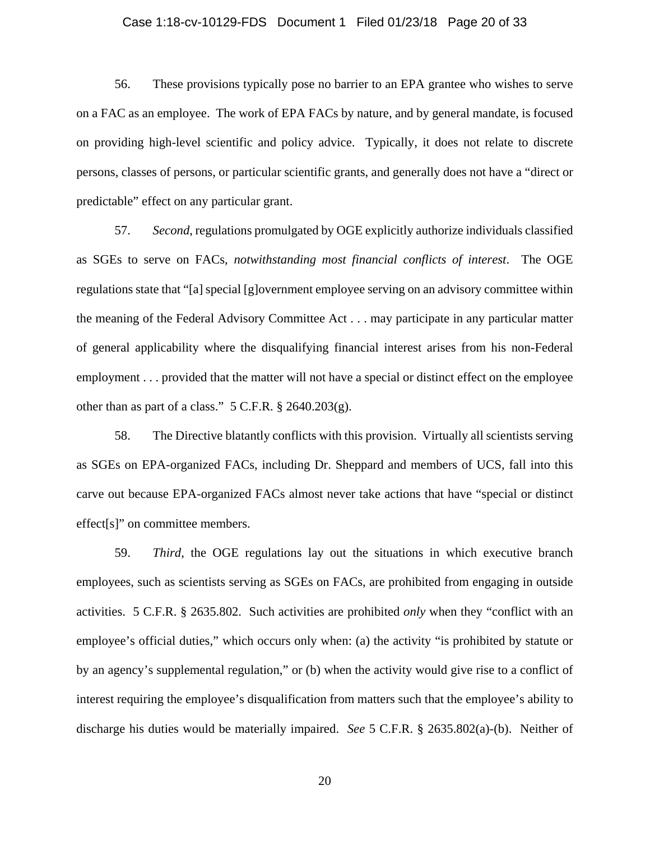#### Case 1:18-cv-10129-FDS Document 1 Filed 01/23/18 Page 20 of 33

56. These provisions typically pose no barrier to an EPA grantee who wishes to serve on a FAC as an employee. The work of EPA FACs by nature, and by general mandate, is focused on providing high-level scientific and policy advice. Typically, it does not relate to discrete persons, classes of persons, or particular scientific grants, and generally does not have a "direct or predictable" effect on any particular grant.

57. *Second*, regulations promulgated by OGE explicitly authorize individuals classified as SGEs to serve on FACs, *notwithstanding most financial conflicts of interest*. The OGE regulations state that "[a] special [g]overnment employee serving on an advisory committee within the meaning of the Federal Advisory Committee Act . . . may participate in any particular matter of general applicability where the disqualifying financial interest arises from his non-Federal employment . . . provided that the matter will not have a special or distinct effect on the employee other than as part of a class."  $5$  C.F.R.  $\S$  2640.203(g).

58. The Directive blatantly conflicts with this provision. Virtually all scientists serving as SGEs on EPA-organized FACs, including Dr. Sheppard and members of UCS, fall into this carve out because EPA-organized FACs almost never take actions that have "special or distinct effect[s]" on committee members.

59. *Third*, the OGE regulations lay out the situations in which executive branch employees, such as scientists serving as SGEs on FACs, are prohibited from engaging in outside activities. 5 C.F.R. § 2635.802. Such activities are prohibited *only* when they "conflict with an employee's official duties," which occurs only when: (a) the activity "is prohibited by statute or by an agency's supplemental regulation," or (b) when the activity would give rise to a conflict of interest requiring the employee's disqualification from matters such that the employee's ability to discharge his duties would be materially impaired. *See* 5 C.F.R. § 2635.802(a)-(b). Neither of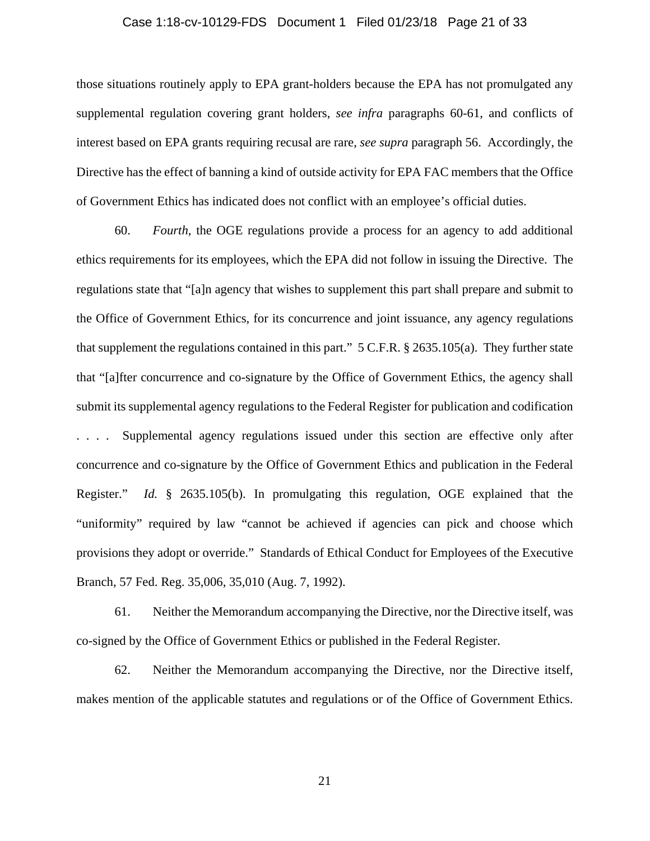#### Case 1:18-cv-10129-FDS Document 1 Filed 01/23/18 Page 21 of 33

those situations routinely apply to EPA grant-holders because the EPA has not promulgated any supplemental regulation covering grant holders, *see infra* paragraphs 60-61, and conflicts of interest based on EPA grants requiring recusal are rare, *see supra* paragraph 56. Accordingly, the Directive has the effect of banning a kind of outside activity for EPA FAC members that the Office of Government Ethics has indicated does not conflict with an employee's official duties.

60. *Fourth*, the OGE regulations provide a process for an agency to add additional ethics requirements for its employees, which the EPA did not follow in issuing the Directive. The regulations state that "[a]n agency that wishes to supplement this part shall prepare and submit to the Office of Government Ethics, for its concurrence and joint issuance, any agency regulations that supplement the regulations contained in this part." 5 C.F.R. § 2635.105(a). They further state that "[a]fter concurrence and co-signature by the Office of Government Ethics, the agency shall submit its supplemental agency regulations to the Federal Register for publication and codification . . . . Supplemental agency regulations issued under this section are effective only after concurrence and co-signature by the Office of Government Ethics and publication in the Federal Register." *Id.* § 2635.105(b). In promulgating this regulation, OGE explained that the "uniformity" required by law "cannot be achieved if agencies can pick and choose which provisions they adopt or override." Standards of Ethical Conduct for Employees of the Executive Branch, 57 Fed. Reg. 35,006, 35,010 (Aug. 7, 1992).

61. Neither the Memorandum accompanying the Directive, nor the Directive itself, was co-signed by the Office of Government Ethics or published in the Federal Register.

62. Neither the Memorandum accompanying the Directive, nor the Directive itself, makes mention of the applicable statutes and regulations or of the Office of Government Ethics.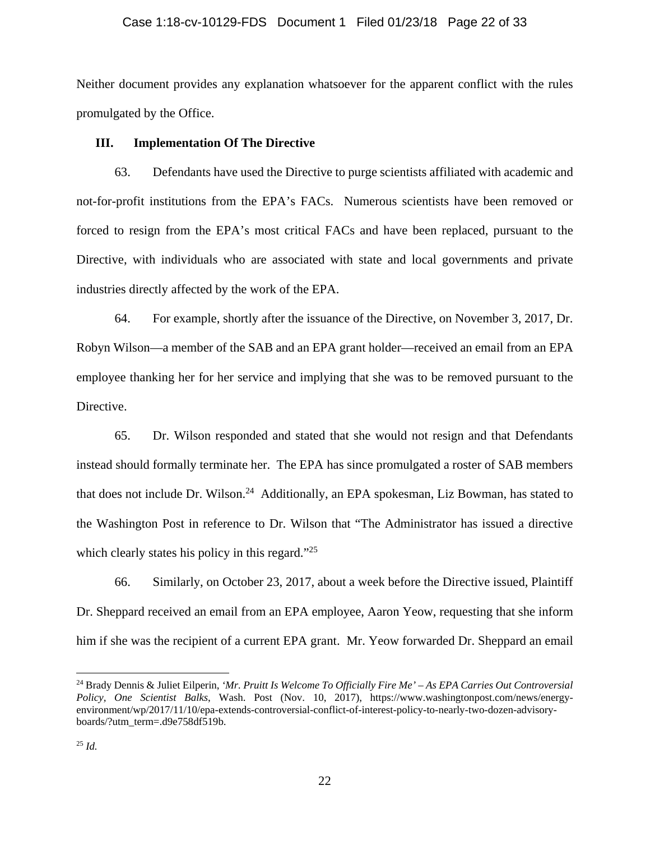### Case 1:18-cv-10129-FDS Document 1 Filed 01/23/18 Page 22 of 33

Neither document provides any explanation whatsoever for the apparent conflict with the rules promulgated by the Office.

### **III. Implementation Of The Directive**

63. Defendants have used the Directive to purge scientists affiliated with academic and not-for-profit institutions from the EPA's FACs. Numerous scientists have been removed or forced to resign from the EPA's most critical FACs and have been replaced, pursuant to the Directive, with individuals who are associated with state and local governments and private industries directly affected by the work of the EPA.

64. For example, shortly after the issuance of the Directive, on November 3, 2017, Dr. Robyn Wilson—a member of the SAB and an EPA grant holder—received an email from an EPA employee thanking her for her service and implying that she was to be removed pursuant to the Directive.

65. Dr. Wilson responded and stated that she would not resign and that Defendants instead should formally terminate her. The EPA has since promulgated a roster of SAB members that does not include Dr. Wilson.<sup>24</sup> Additionally, an EPA spokesman, Liz Bowman, has stated to the Washington Post in reference to Dr. Wilson that "The Administrator has issued a directive which clearly states his policy in this regard."<sup>25</sup>

66. Similarly, on October 23, 2017, about a week before the Directive issued, Plaintiff Dr. Sheppard received an email from an EPA employee, Aaron Yeow, requesting that she inform him if she was the recipient of a current EPA grant. Mr. Yeow forwarded Dr. Sheppard an email

<sup>24</sup> Brady Dennis & Juliet Eilperin, *'Mr. Pruitt Is Welcome To Officially Fire Me' – As EPA Carries Out Controversial Policy, One Scientist Balks*, Wash. Post (Nov. 10, 2017), https://www.washingtonpost.com/news/energyenvironment/wp/2017/11/10/epa-extends-controversial-conflict-of-interest-policy-to-nearly-two-dozen-advisoryboards/?utm\_term=.d9e758df519b.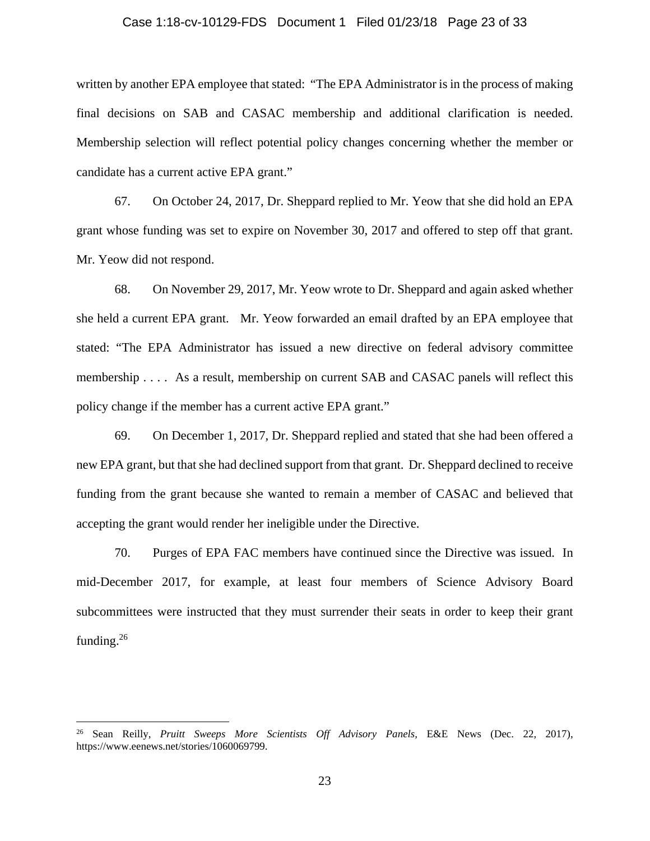#### Case 1:18-cv-10129-FDS Document 1 Filed 01/23/18 Page 23 of 33

written by another EPA employee that stated: "The EPA Administrator is in the process of making final decisions on SAB and CASAC membership and additional clarification is needed. Membership selection will reflect potential policy changes concerning whether the member or candidate has a current active EPA grant."

67. On October 24, 2017, Dr. Sheppard replied to Mr. Yeow that she did hold an EPA grant whose funding was set to expire on November 30, 2017 and offered to step off that grant. Mr. Yeow did not respond.

68. On November 29, 2017, Mr. Yeow wrote to Dr. Sheppard and again asked whether she held a current EPA grant. Mr. Yeow forwarded an email drafted by an EPA employee that stated: "The EPA Administrator has issued a new directive on federal advisory committee membership . . . . As a result, membership on current SAB and CASAC panels will reflect this policy change if the member has a current active EPA grant."

69. On December 1, 2017, Dr. Sheppard replied and stated that she had been offered a new EPA grant, but that she had declined support from that grant. Dr. Sheppard declined to receive funding from the grant because she wanted to remain a member of CASAC and believed that accepting the grant would render her ineligible under the Directive.

70. Purges of EPA FAC members have continued since the Directive was issued. In mid-December 2017, for example, at least four members of Science Advisory Board subcommittees were instructed that they must surrender their seats in order to keep their grant funding. $^{26}$ 

<sup>26</sup> Sean Reilly, *Pruitt Sweeps More Scientists Off Advisory Panels,* E&E News (Dec. 22, 2017), https://www.eenews.net/stories/1060069799.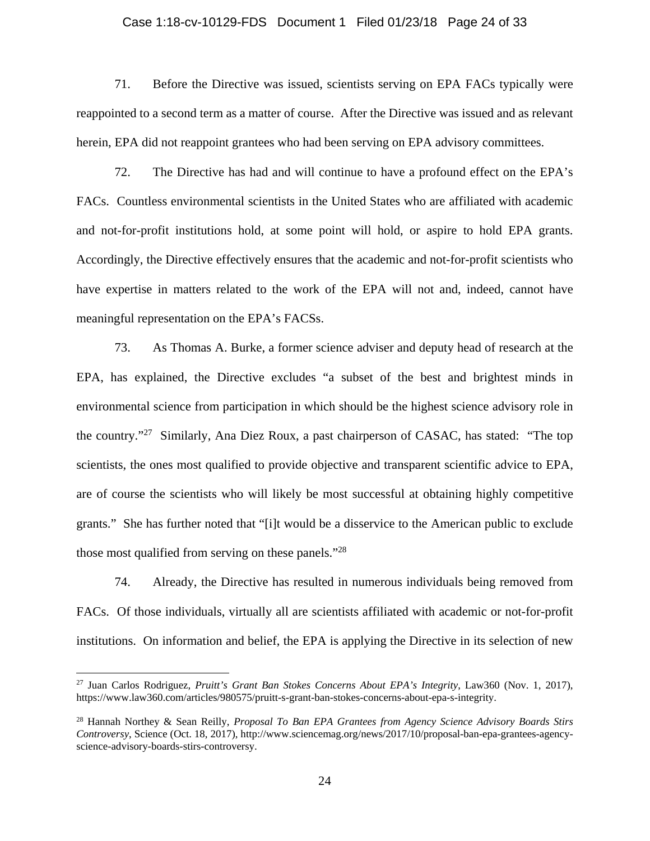#### Case 1:18-cv-10129-FDS Document 1 Filed 01/23/18 Page 24 of 33

71. Before the Directive was issued, scientists serving on EPA FACs typically were reappointed to a second term as a matter of course. After the Directive was issued and as relevant herein, EPA did not reappoint grantees who had been serving on EPA advisory committees.

72. The Directive has had and will continue to have a profound effect on the EPA's FACs. Countless environmental scientists in the United States who are affiliated with academic and not-for-profit institutions hold, at some point will hold, or aspire to hold EPA grants. Accordingly, the Directive effectively ensures that the academic and not-for-profit scientists who have expertise in matters related to the work of the EPA will not and, indeed, cannot have meaningful representation on the EPA's FACSs.

73. As Thomas A. Burke, a former science adviser and deputy head of research at the EPA, has explained, the Directive excludes "a subset of the best and brightest minds in environmental science from participation in which should be the highest science advisory role in the country."27 Similarly, Ana Diez Roux, a past chairperson of CASAC, has stated: "The top scientists, the ones most qualified to provide objective and transparent scientific advice to EPA, are of course the scientists who will likely be most successful at obtaining highly competitive grants." She has further noted that "[i]t would be a disservice to the American public to exclude those most qualified from serving on these panels."<sup>28</sup>

74. Already, the Directive has resulted in numerous individuals being removed from FACs. Of those individuals, virtually all are scientists affiliated with academic or not-for-profit institutions. On information and belief, the EPA is applying the Directive in its selection of new

<sup>27</sup> Juan Carlos Rodriguez, *Pruitt's Grant Ban Stokes Concerns About EPA's Integrity*, Law360 (Nov. 1, 2017), https://www.law360.com/articles/980575/pruitt-s-grant-ban-stokes-concerns-about-epa-s-integrity.

<sup>28</sup> Hannah Northey & Sean Reilly, *Proposal To Ban EPA Grantees from Agency Science Advisory Boards Stirs Controversy*, Science (Oct. 18, 2017), http://www.sciencemag.org/news/2017/10/proposal-ban-epa-grantees-agencyscience-advisory-boards-stirs-controversy.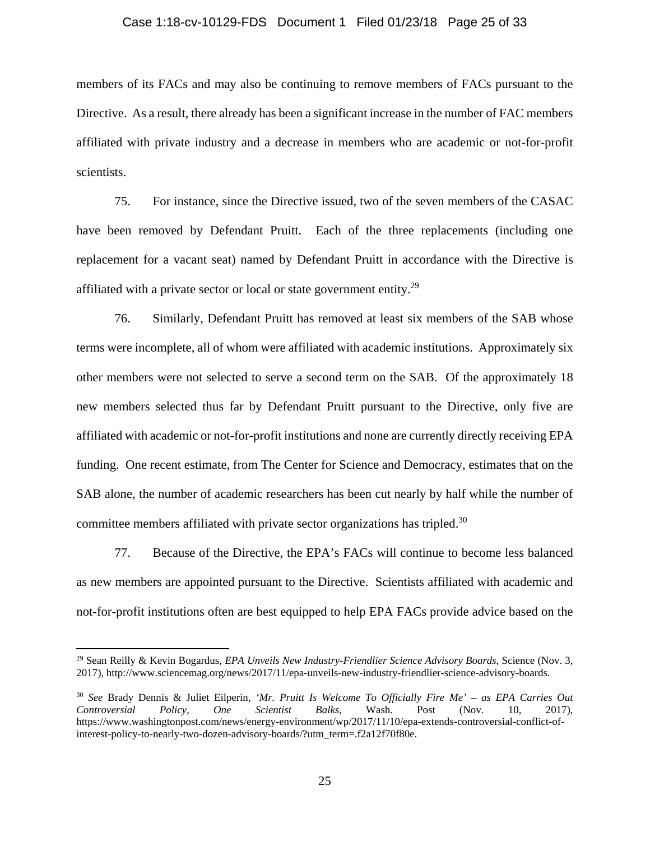### Case 1:18-cv-10129-FDS Document 1 Filed 01/23/18 Page 25 of 33

members of its FACs and may also be continuing to remove members of FACs pursuant to the Directive. As a result, there already has been a significant increase in the number of FAC members affiliated with private industry and a decrease in members who are academic or not-for-profit scientists.

75. For instance, since the Directive issued, two of the seven members of the CASAC have been removed by Defendant Pruitt. Each of the three replacements (including one replacement for a vacant seat) named by Defendant Pruitt in accordance with the Directive is affiliated with a private sector or local or state government entity.<sup>29</sup>

76. Similarly, Defendant Pruitt has removed at least six members of the SAB whose terms were incomplete, all of whom were affiliated with academic institutions. Approximately six other members were not selected to serve a second term on the SAB. Of the approximately 18 new members selected thus far by Defendant Pruitt pursuant to the Directive, only five are affiliated with academic or not-for-profit institutions and none are currently directly receiving EPA funding. One recent estimate, from The Center for Science and Democracy, estimates that on the SAB alone, the number of academic researchers has been cut nearly by half while the number of committee members affiliated with private sector organizations has tripled.<sup>30</sup>

77. Because of the Directive, the EPA's FACs will continue to become less balanced as new members are appointed pursuant to the Directive. Scientists affiliated with academic and not-for-profit institutions often are best equipped to help EPA FACs provide advice based on the

 $\overline{a}$ 

<sup>29</sup> Sean Reilly & Kevin Bogardus, *EPA Unveils New Industry-Friendlier Science Advisory Boards*, Science (Nov. 3, 2017), http://www.sciencemag.org/news/2017/11/epa-unveils-new-industry-friendlier-science-advisory-boards.

<sup>30</sup> *See* Brady Dennis & Juliet Eilperin, *'Mr. Pruitt Is Welcome To Officially Fire Me' – as EPA Carries Out Controversial Policy, One Scientist Balks*, Wash. Post (Nov. 10, 2017), https://www.washingtonpost.com/news/energy-environment/wp/2017/11/10/epa-extends-controversial-conflict-ofinterest-policy-to-nearly-two-dozen-advisory-boards/?utm\_term=.f2a12f70f80e.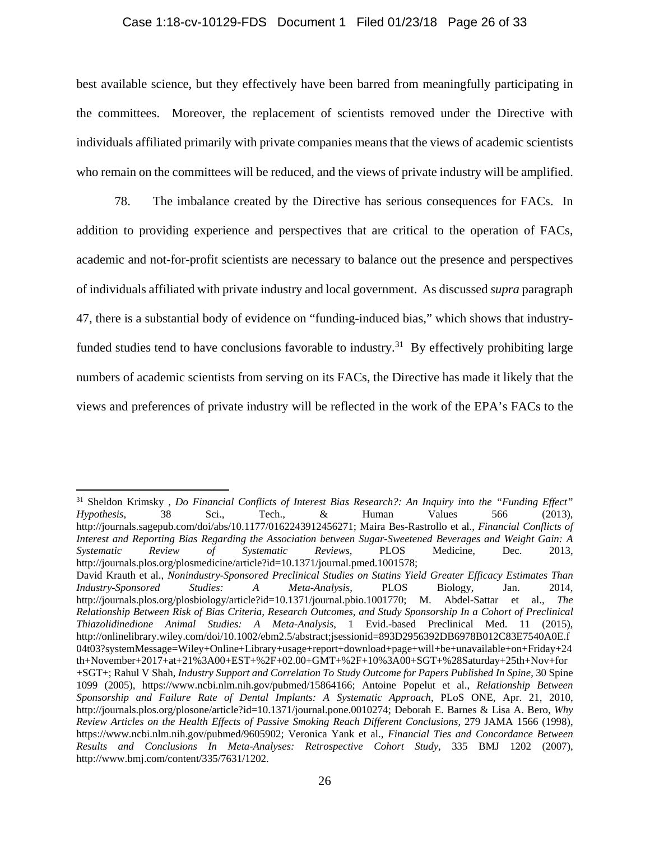# Case 1:18-cv-10129-FDS Document 1 Filed 01/23/18 Page 26 of 33

best available science, but they effectively have been barred from meaningfully participating in the committees. Moreover, the replacement of scientists removed under the Directive with individuals affiliated primarily with private companies means that the views of academic scientists who remain on the committees will be reduced, and the views of private industry will be amplified.

78. The imbalance created by the Directive has serious consequences for FACs. In addition to providing experience and perspectives that are critical to the operation of FACs, academic and not-for-profit scientists are necessary to balance out the presence and perspectives of individuals affiliated with private industry and local government. As discussed *supra* paragraph 47, there is a substantial body of evidence on "funding-induced bias," which shows that industryfunded studies tend to have conclusions favorable to industry.<sup>31</sup> By effectively prohibiting large numbers of academic scientists from serving on its FACs, the Directive has made it likely that the views and preferences of private industry will be reflected in the work of the EPA's FACs to the

31 Sheldon Krimsky , *Do Financial Conflicts of Interest Bias Research?: An Inquiry into the "Funding Effect" Hypothesis*, 38 Sci., Tech., & Human Values 566 (2013), http://journals.sagepub.com/doi/abs/10.1177/0162243912456271; Maira Bes-Rastrollo et al., *Financial Conflicts of Interest and Reporting Bias Regarding the Association between Sugar-Sweetened Beverages and Weight Gain: A Systematic Review of Systematic Reviews*, PLOS Medicine, Dec. 2013, http://journals.plos.org/plosmedicine/article?id=10.1371/journal.pmed.1001578; David Krauth et al., *Nonindustry-Sponsored Preclinical Studies on Statins Yield Greater Efficacy Estimates Than Industry-Sponsored Studies: A Meta-Analysis*, PLOS Biology, Jan. 2014, http://journals.plos.org/plosbiology/article?id=10.1371/journal.pbio.1001770; M. Abdel-Sattar et al., *The Relationship Between Risk of Bias Criteria, Research Outcomes, and Study Sponsorship In a Cohort of Preclinical Thiazolidinedione Animal Studies: A Meta-Analysis*, 1 Evid.-based Preclinical Med. 11 (2015), http://onlinelibrary.wiley.com/doi/10.1002/ebm2.5/abstract;jsessionid=893D2956392DB6978B012C83E7540A0E.f 04t03?systemMessage=Wiley+Online+Library+usage+report+download+page+will+be+unavailable+on+Friday+24 th+November+2017+at+21%3A00+EST+%2F+02.00+GMT+%2F+10%3A00+SGT+%28Saturday+25th+Nov+for +SGT+; Rahul V Shah, *Industry Support and Correlation To Study Outcome for Papers Published In Spine*, 30 Spine 1099 (2005), https://www.ncbi.nlm.nih.gov/pubmed/15864166; Antoine Popelut et al., *Relationship Between Sponsorship and Failure Rate of Dental Implants: A Systematic Approach*, PLoS ONE, Apr. 21, 2010, http://journals.plos.org/plosone/article?id=10.1371/journal.pone.0010274; Deborah E. Barnes & Lisa A. Bero, *Why Review Articles on the Health Effects of Passive Smoking Reach Different Conclusions*, 279 JAMA 1566 (1998), https://www.ncbi.nlm.nih.gov/pubmed/9605902; Veronica Yank et al., *Financial Ties and Concordance Between Results and Conclusions In Meta-Analyses: Retrospective Cohort Study*, 335 BMJ 1202 (2007), http://www.bmj.com/content/335/7631/1202.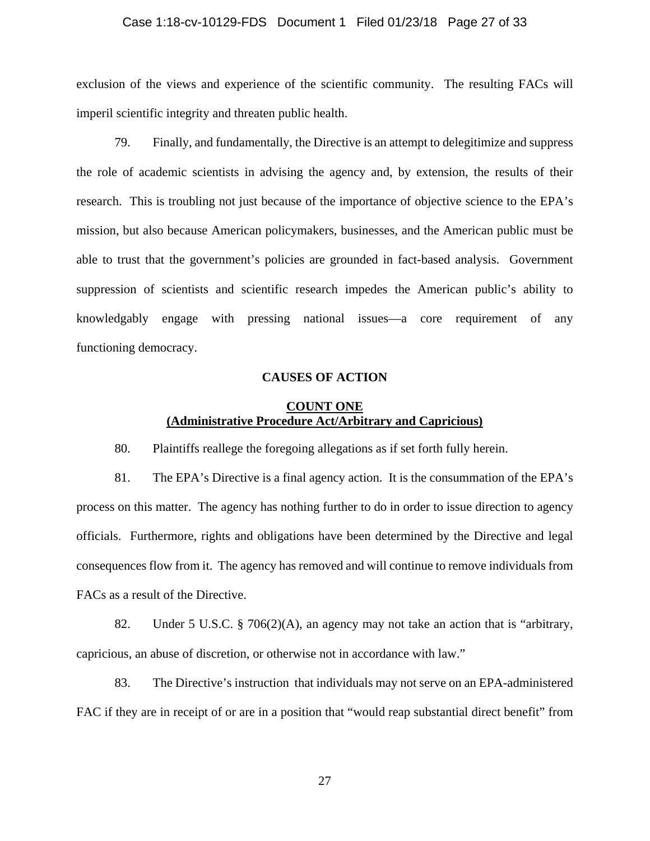#### Case 1:18-cv-10129-FDS Document 1 Filed 01/23/18 Page 27 of 33

exclusion of the views and experience of the scientific community. The resulting FACs will imperil scientific integrity and threaten public health.

79. Finally, and fundamentally, the Directive is an attempt to delegitimize and suppress the role of academic scientists in advising the agency and, by extension, the results of their research. This is troubling not just because of the importance of objective science to the EPA's mission, but also because American policymakers, businesses, and the American public must be able to trust that the government's policies are grounded in fact-based analysis. Government suppression of scientists and scientific research impedes the American public's ability to knowledgably engage with pressing national issues—a core requirement of any functioning democracy.

### **CAUSES OF ACTION**

### **COUNT ONE (Administrative Procedure Act/Arbitrary and Capricious)**

80. Plaintiffs reallege the foregoing allegations as if set forth fully herein.

81. The EPA's Directive is a final agency action. It is the consummation of the EPA's process on this matter. The agency has nothing further to do in order to issue direction to agency officials. Furthermore, rights and obligations have been determined by the Directive and legal consequences flow from it. The agency has removed and will continue to remove individuals from FACs as a result of the Directive.

82. Under 5 U.S.C. § 706(2)(A), an agency may not take an action that is "arbitrary, capricious, an abuse of discretion, or otherwise not in accordance with law."

83. The Directive's instruction that individuals may not serve on an EPA-administered FAC if they are in receipt of or are in a position that "would reap substantial direct benefit" from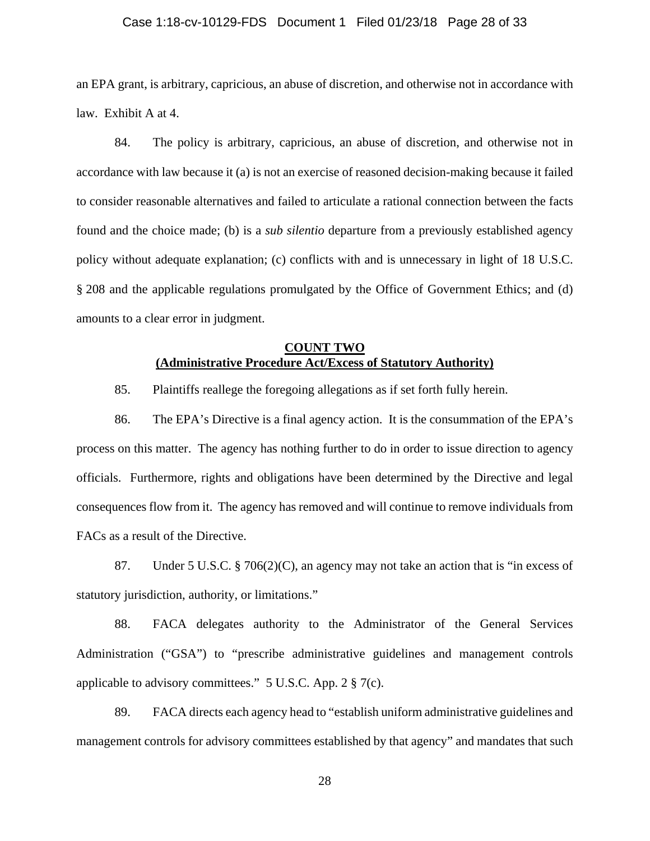### Case 1:18-cv-10129-FDS Document 1 Filed 01/23/18 Page 28 of 33

an EPA grant, is arbitrary, capricious, an abuse of discretion, and otherwise not in accordance with law. Exhibit A at 4.

84. The policy is arbitrary, capricious, an abuse of discretion, and otherwise not in accordance with law because it (a) is not an exercise of reasoned decision-making because it failed to consider reasonable alternatives and failed to articulate a rational connection between the facts found and the choice made; (b) is a *sub silentio* departure from a previously established agency policy without adequate explanation; (c) conflicts with and is unnecessary in light of 18 U.S.C. § 208 and the applicable regulations promulgated by the Office of Government Ethics; and (d) amounts to a clear error in judgment.

### **COUNT TWO (Administrative Procedure Act/Excess of Statutory Authority)**

85. Plaintiffs reallege the foregoing allegations as if set forth fully herein.

86. The EPA's Directive is a final agency action. It is the consummation of the EPA's process on this matter. The agency has nothing further to do in order to issue direction to agency officials. Furthermore, rights and obligations have been determined by the Directive and legal consequences flow from it. The agency has removed and will continue to remove individuals from FACs as a result of the Directive.

87. Under 5 U.S.C. § 706(2)(C), an agency may not take an action that is "in excess of statutory jurisdiction, authority, or limitations."

88. FACA delegates authority to the Administrator of the General Services Administration ("GSA") to "prescribe administrative guidelines and management controls applicable to advisory committees." 5 U.S.C. App. 2 § 7(c).

89. FACA directs each agency head to "establish uniform administrative guidelines and management controls for advisory committees established by that agency" and mandates that such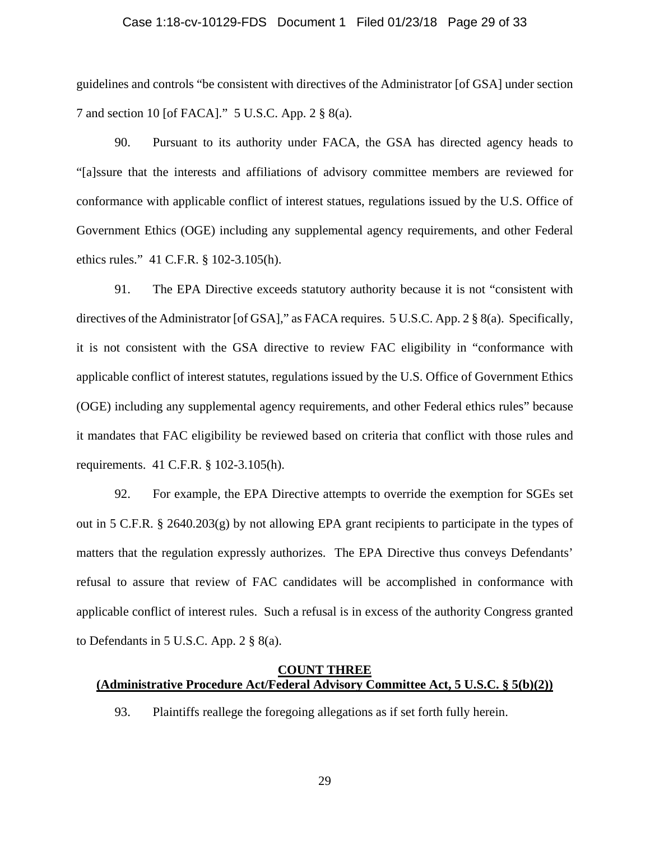#### Case 1:18-cv-10129-FDS Document 1 Filed 01/23/18 Page 29 of 33

guidelines and controls "be consistent with directives of the Administrator [of GSA] under section 7 and section 10 [of FACA]." 5 U.S.C. App. 2 § 8(a).

90. Pursuant to its authority under FACA, the GSA has directed agency heads to "[a]ssure that the interests and affiliations of advisory committee members are reviewed for conformance with applicable conflict of interest statues, regulations issued by the U.S. Office of Government Ethics (OGE) including any supplemental agency requirements, and other Federal ethics rules." 41 C.F.R. § 102-3.105(h).

91. The EPA Directive exceeds statutory authority because it is not "consistent with directives of the Administrator [of GSA]," as FACA requires. 5 U.S.C. App. 2 § 8(a). Specifically, it is not consistent with the GSA directive to review FAC eligibility in "conformance with applicable conflict of interest statutes, regulations issued by the U.S. Office of Government Ethics (OGE) including any supplemental agency requirements, and other Federal ethics rules" because it mandates that FAC eligibility be reviewed based on criteria that conflict with those rules and requirements. 41 C.F.R. § 102-3.105(h).

92. For example, the EPA Directive attempts to override the exemption for SGEs set out in 5 C.F.R. § 2640.203(g) by not allowing EPA grant recipients to participate in the types of matters that the regulation expressly authorizes. The EPA Directive thus conveys Defendants' refusal to assure that review of FAC candidates will be accomplished in conformance with applicable conflict of interest rules. Such a refusal is in excess of the authority Congress granted to Defendants in 5 U.S.C. App. 2 § 8(a).

### **COUNT THREE (Administrative Procedure Act/Federal Advisory Committee Act, 5 U.S.C. § 5(b)(2))**

93. Plaintiffs reallege the foregoing allegations as if set forth fully herein.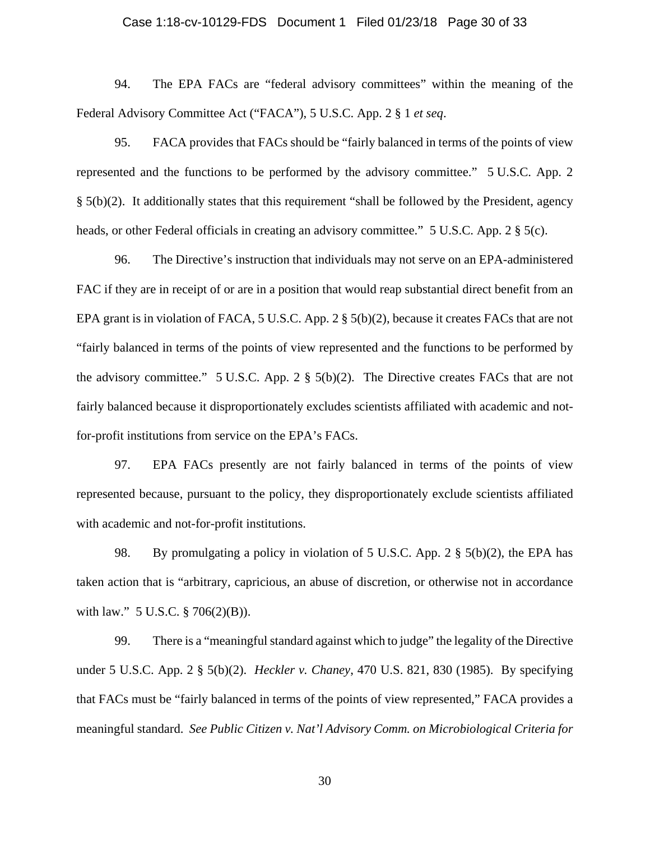#### Case 1:18-cv-10129-FDS Document 1 Filed 01/23/18 Page 30 of 33

94. The EPA FACs are "federal advisory committees" within the meaning of the Federal Advisory Committee Act ("FACA"), 5 U.S.C. App. 2 § 1 *et seq*.

95. FACA provides that FACs should be "fairly balanced in terms of the points of view represented and the functions to be performed by the advisory committee." 5 U.S.C. App. 2 § 5(b)(2). It additionally states that this requirement "shall be followed by the President, agency heads, or other Federal officials in creating an advisory committee." 5 U.S.C. App. 2  $\S$  5(c).

96. The Directive's instruction that individuals may not serve on an EPA-administered FAC if they are in receipt of or are in a position that would reap substantial direct benefit from an EPA grant is in violation of FACA, 5 U.S.C. App. 2 § 5(b)(2), because it creates FACs that are not "fairly balanced in terms of the points of view represented and the functions to be performed by the advisory committee." 5 U.S.C. App. 2 § 5(b)(2). The Directive creates FACs that are not fairly balanced because it disproportionately excludes scientists affiliated with academic and notfor-profit institutions from service on the EPA's FACs.

97. EPA FACs presently are not fairly balanced in terms of the points of view represented because, pursuant to the policy, they disproportionately exclude scientists affiliated with academic and not-for-profit institutions.

98. By promulgating a policy in violation of 5 U.S.C. App. 2 § 5(b)(2), the EPA has taken action that is "arbitrary, capricious, an abuse of discretion, or otherwise not in accordance with law." 5 U.S.C. § 706(2)(B)).

99. There is a "meaningful standard against which to judge" the legality of the Directive under 5 U.S.C. App. 2 § 5(b)(2). *Heckler v. Chaney*, 470 U.S. 821, 830 (1985). By specifying that FACs must be "fairly balanced in terms of the points of view represented," FACA provides a meaningful standard. *See Public Citizen v. Nat'l Advisory Comm. on Microbiological Criteria for*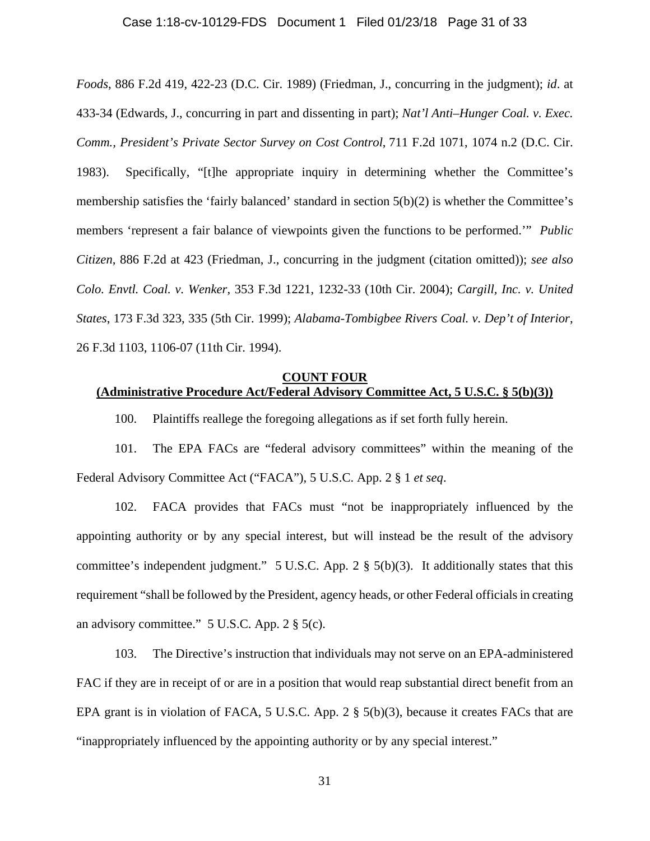### Case 1:18-cv-10129-FDS Document 1 Filed 01/23/18 Page 31 of 33

*Foods*, 886 F.2d 419, 422-23 (D.C. Cir. 1989) (Friedman, J., concurring in the judgment); *id*. at 433-34 (Edwards, J., concurring in part and dissenting in part); *Nat'l Anti–Hunger Coal. v. Exec. Comm., President's Private Sector Survey on Cost Control*, 711 F.2d 1071, 1074 n.2 (D.C. Cir. 1983). Specifically, "[t]he appropriate inquiry in determining whether the Committee's membership satisfies the 'fairly balanced' standard in section 5(b)(2) is whether the Committee's members 'represent a fair balance of viewpoints given the functions to be performed.'" *Public Citizen*, 886 F.2d at 423 (Friedman, J., concurring in the judgment (citation omitted)); *see also Colo. Envtl. Coal. v. Wenker*, 353 F.3d 1221, 1232-33 (10th Cir. 2004); *Cargill, Inc. v. United States*, 173 F.3d 323, 335 (5th Cir. 1999); *Alabama-Tombigbee Rivers Coal. v. Dep't of Interior*, 26 F.3d 1103, 1106-07 (11th Cir. 1994).

## **COUNT FOUR (Administrative Procedure Act/Federal Advisory Committee Act, 5 U.S.C. § 5(b)(3))**

100. Plaintiffs reallege the foregoing allegations as if set forth fully herein.

101. The EPA FACs are "federal advisory committees" within the meaning of the Federal Advisory Committee Act ("FACA"), 5 U.S.C. App. 2 § 1 *et seq*.

102. FACA provides that FACs must "not be inappropriately influenced by the appointing authority or by any special interest, but will instead be the result of the advisory committee's independent judgment." 5 U.S.C. App. 2 § 5(b)(3). It additionally states that this requirement "shall be followed by the President, agency heads, or other Federal officials in creating an advisory committee." 5 U.S.C. App. 2 § 5(c).

103. The Directive's instruction that individuals may not serve on an EPA-administered FAC if they are in receipt of or are in a position that would reap substantial direct benefit from an EPA grant is in violation of FACA, 5 U.S.C. App. 2 § 5(b)(3), because it creates FACs that are "inappropriately influenced by the appointing authority or by any special interest."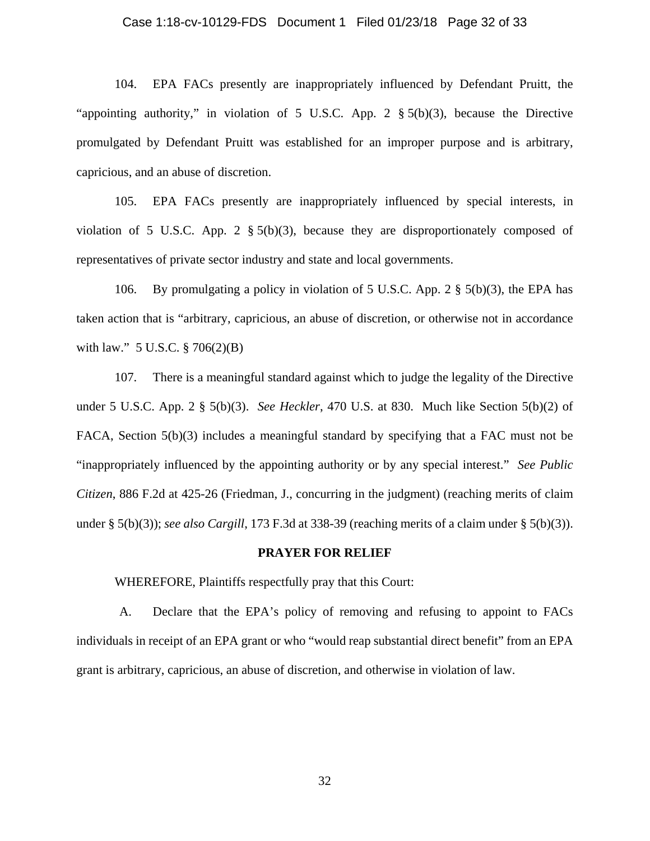### Case 1:18-cv-10129-FDS Document 1 Filed 01/23/18 Page 32 of 33

104. EPA FACs presently are inappropriately influenced by Defendant Pruitt, the "appointing authority," in violation of 5 U.S.C. App. 2  $\S$  5(b)(3), because the Directive promulgated by Defendant Pruitt was established for an improper purpose and is arbitrary, capricious, and an abuse of discretion.

105. EPA FACs presently are inappropriately influenced by special interests, in violation of 5 U.S.C. App. 2  $\S 5(b)(3)$ , because they are disproportionately composed of representatives of private sector industry and state and local governments.

106. By promulgating a policy in violation of 5 U.S.C. App. 2 § 5(b)(3), the EPA has taken action that is "arbitrary, capricious, an abuse of discretion, or otherwise not in accordance with law." 5 U.S.C. § 706(2)(B)

107. There is a meaningful standard against which to judge the legality of the Directive under 5 U.S.C. App. 2 § 5(b)(3). *See Heckler*, 470 U.S. at 830. Much like Section 5(b)(2) of FACA, Section 5(b)(3) includes a meaningful standard by specifying that a FAC must not be "inappropriately influenced by the appointing authority or by any special interest." *See Public Citizen*, 886 F.2d at 425-26 (Friedman, J., concurring in the judgment) (reaching merits of claim under § 5(b)(3)); *see also Cargill*, 173 F.3d at 338-39 (reaching merits of a claim under § 5(b)(3)).

#### **PRAYER FOR RELIEF**

WHEREFORE, Plaintiffs respectfully pray that this Court:

A. Declare that the EPA's policy of removing and refusing to appoint to FACs individuals in receipt of an EPA grant or who "would reap substantial direct benefit" from an EPA grant is arbitrary, capricious, an abuse of discretion, and otherwise in violation of law.